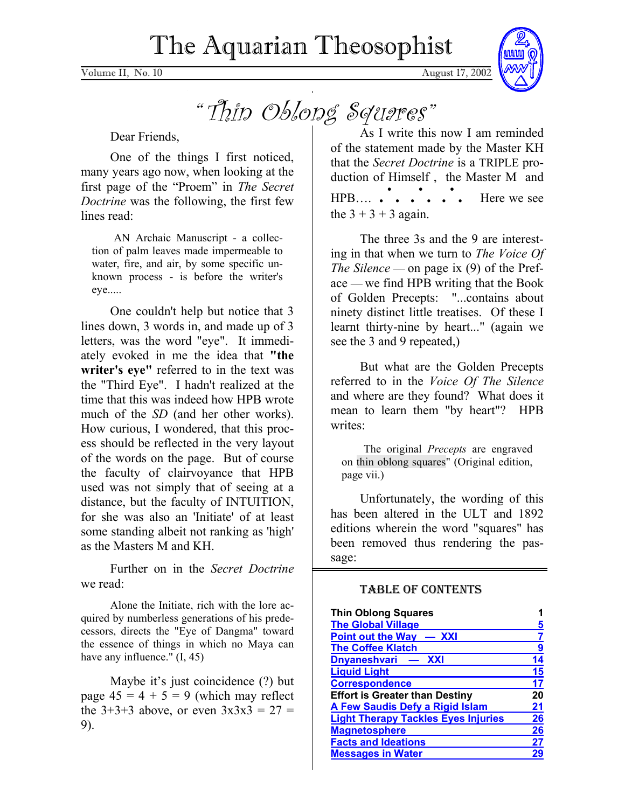### The Aquarian Theosophist

Volume II, No. 10 August 17, 2002



" Thin Oblong Squares"

Dear Friends,

One of the things I first noticed, many years ago now, when looking at the first page of the "Proem" in *The Secret Doctrine* was the following, the first few lines read:

AN Archaic Manuscript - a collection of palm leaves made impermeable to water, fire, and air, by some specific unknown process - is before the writer's eye.....

One couldn't help but notice that 3 lines down, 3 words in, and made up of 3 letters, was the word "eye". It immediately evoked in me the idea that **"the writer's eye"** referred to in the text was the "Third Eye". I hadn't realized at the time that this was indeed how HPB wrote much of the *SD* (and her other works). How curious, I wondered, that this process should be reflected in the very layout of the words on the page. But of course the faculty of clairvoyance that HPB used was not simply that of seeing at a distance, but the faculty of INTUITION, for she was also an 'Initiate' of at least some standing albeit not ranking as 'high' as the Masters M and KH.

sage: Further on in the *Secret Doctrine* we read: TABLE OF CONTENTS

Alone the Initiate, rich with the lore acquired by numberless generations of his predecessors, directs the "Eye of Dangma" toward the essence of things in which no Maya can have any influence." (I, 45)

Maybe it's just coincidence (?) but page  $45 = 4 + 5 = 9$  (which may reflect the  $3+3+3$  above, or even  $3x3x3 = 27 =$ 9).

As I write this now I am reminded of the statement made by the Master KH that the *Secret Doctrine* is a TRIPLE production of Himself , the Master M and HPB…. • • • • •  $\cdot$   $\cdot$   $\cdot$   $\cdot$ Here we see the  $3 + 3 + 3$  again.

The three 3s and the 9 are interesting in that when we turn to *The Voice Of The Silence* — on page ix (9) of the Preface — we find HPB writing that the Book of Golden Precepts: "...contains about ninety distinct little treatises. Of these I learnt thirty-nine by heart..." (again we see the 3 and 9 repeated,)

But what are the Golden Precepts referred to in the *Voice Of The Silence* and where are they found? What does it mean to learn them "by heart"? HPB writes:

The original *Precepts* are engraved on thin oblong squares" (Original edition, page vii.)

Unfortunately, the wording of this has been altered in the ULT and 1892 editions wherein the word "squares" has been removed thus rendering the pas-

| <b>Thin Oblong Squares</b>                 |    |
|--------------------------------------------|----|
| <b>The Global Village</b>                  | 5  |
| Point out the Way - XXI                    |    |
| <b>The Coffee Klatch</b>                   | 9  |
| Dnyaneshvari - XXI                         | 14 |
| <b>Liquid Light</b>                        | 15 |
| <b>Correspondence</b>                      | 17 |
| <b>Effort is Greater than Destiny</b>      | 20 |
| A Few Saudis Defy a Rigid Islam            | 21 |
| <b>Light Therapy Tackles Eyes Injuries</b> | 26 |
| <b>Magnetosphere</b>                       | 26 |
| <b>Facts and Ideations</b>                 | 27 |
| <b>Messages in Water</b>                   | 29 |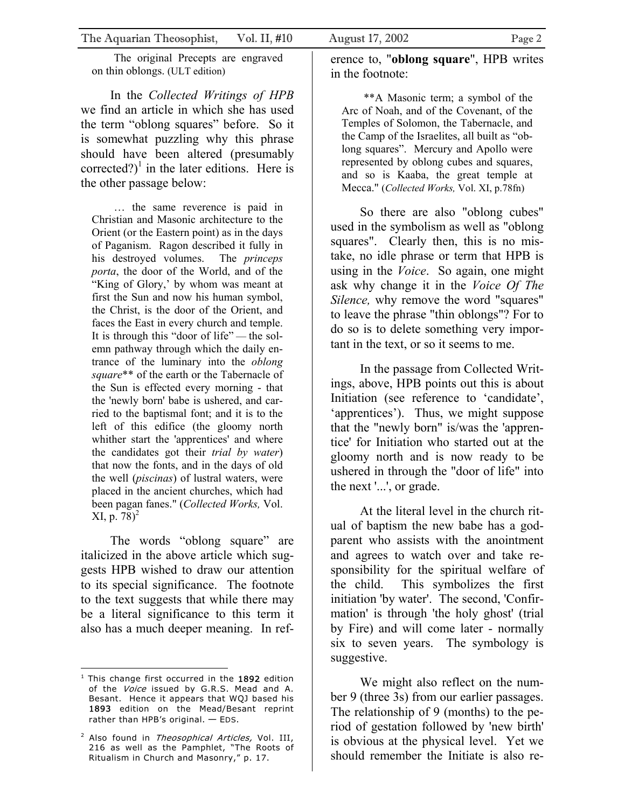The original Precepts are engraved on thin oblongs. (ULT edition)

In the *Collected Writings of HPB* we find an article in which she has used the term "oblong squares" before. So it is somewhat puzzling why this phrase should have been altered (presumably corrected?)<sup>[1](#page-1-0)</sup> in the later editions. Here is the other passage below:

… the same reverence is paid in Christian and Masonic architecture to the Orient (or the Eastern point) as in the days of Paganism. Ragon described it fully in his destroyed volumes. The *princeps porta*, the door of the World, and of the "King of Glory,' by whom was meant at first the Sun and now his human symbol, the Christ, is the door of the Orient, and faces the East in every church and temple. It is through this "door of life" — the solemn pathway through which the daily entrance of the luminary into the *oblong square*\*\* of the earth or the Tabernacle of the Sun is effected every morning - that the 'newly born' babe is ushered, and carried to the baptismal font; and it is to the left of this edifice (the gloomy north whither start the 'apprentices' and where the candidates got their *trial by water*) that now the fonts, and in the days of old the well (*piscinas*) of lustral waters, were placed in the ancient churches, which had been pagan fanes." (*Collected Works,* Vol.  $XI, p. 78)^2$  $XI, p. 78)^2$ 

The words "oblong square" are italicized in the above article which suggests HPB wished to draw our attention to its special significance. The footnote to the text suggests that while there may be a literal significance to this term it also has a much deeper meaning. In reference to, "**oblong square**", HPB writes in the footnote:

\*\*A Masonic term; a symbol of the Arc of Noah, and of the Covenant, of the Temples of Solomon, the Tabernacle, and the Camp of the Israelites, all built as "oblong squares". Mercury and Apollo were represented by oblong cubes and squares, and so is Kaaba, the great temple at Mecca." (*Collected Works,* Vol. XI, p.78fn)

So there are also "oblong cubes" used in the symbolism as well as "oblong squares". Clearly then, this is no mistake, no idle phrase or term that HPB is using in the *Voice*. So again, one might ask why change it in the *Voice Of The Silence,* why remove the word "squares" to leave the phrase "thin oblongs"? For to do so is to delete something very important in the text, or so it seems to me.

In the passage from Collected Writings, above, HPB points out this is about Initiation (see reference to 'candidate', 'apprentices'). Thus, we might suppose that the "newly born" is/was the 'apprentice' for Initiation who started out at the gloomy north and is now ready to be ushered in through the "door of life" into the next '...', or grade.

At the literal level in the church ritual of baptism the new babe has a godparent who assists with the anointment and agrees to watch over and take responsibility for the spiritual welfare of the child. This symbolizes the first initiation 'by water'. The second, 'Confirmation' is through 'the holy ghost' (trial by Fire) and will come later - normally six to seven years. The symbology is suggestive.

We might also reflect on the number 9 (three 3s) from our earlier passages. The relationship of 9 (months) to the period of gestation followed by 'new birth' is obvious at the physical level. Yet we should remember the Initiate is also re-

<span id="page-1-0"></span>  $1$  This change first occurred in the 1892 edition of the Voice issued by G.R.S. Mead and A. Besant. Hence it appears that WQJ based his 1893 edition on the Mead/Besant reprint rather than HPB's original. — EDS.

<span id="page-1-1"></span><sup>&</sup>lt;sup>2</sup> Also found in *Theosophical Articles,* Vol. III, 216 as well as the Pamphlet, "The Roots of Ritualism in Church and Masonry," p. 17.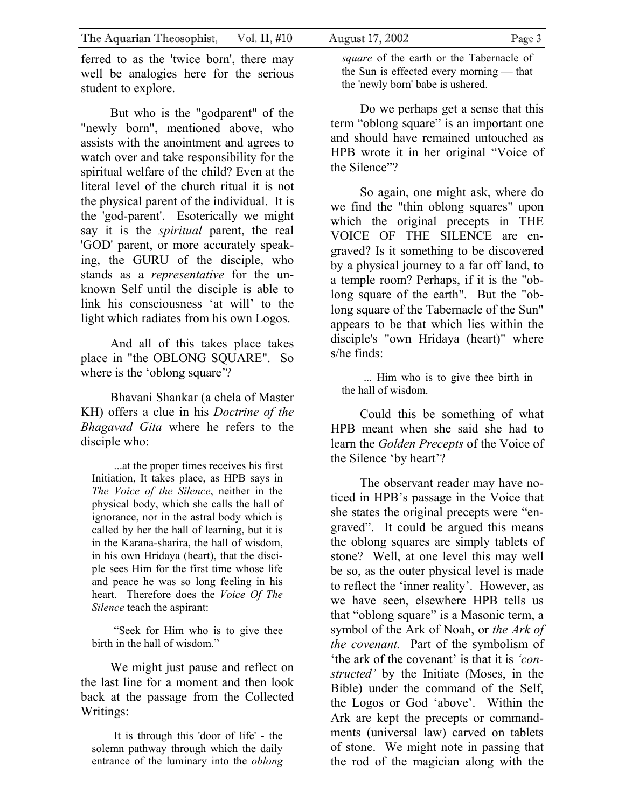ferred to as the 'twice born', there may well be analogies here for the serious student to explore.

But who is the "godparent" of the "newly born", mentioned above, who assists with the anointment and agrees to watch over and take responsibility for the spiritual welfare of the child? Even at the literal level of the church ritual it is not the physical parent of the individual. It is the 'god-parent'. Esoterically we might say it is the *spiritual* parent, the real 'GOD' parent, or more accurately speaking, the GURU of the disciple, who stands as a *representative* for the unknown Self until the disciple is able to link his consciousness 'at will' to the light which radiates from his own Logos.

And all of this takes place takes place in "the OBLONG SQUARE". So where is the 'oblong square'?

Bhavani Shankar (a chela of Master KH) offers a clue in his *Doctrine of the Bhagavad Gita* where he refers to the disciple who:

...at the proper times receives his first Initiation, It takes place, as HPB says in *The Voice of the Silence*, neither in the physical body, which she calls the hall of ignorance, nor in the astral body which is called by her the hall of learning, but it is in the Karana-sharira, the hall of wisdom, in his own Hridaya (heart), that the disciple sees Him for the first time whose life and peace he was so long feeling in his heart. Therefore does the *Voice Of The Silence* teach the aspirant:

"Seek for Him who is to give thee birth in the hall of wisdom."

We might just pause and reflect on the last line for a moment and then look back at the passage from the Collected Writings:

It is through this 'door of life' - the solemn pathway through which the daily entrance of the luminary into the *oblong* 

*square* of the earth or the Tabernacle of the Sun is effected every morning — that the 'newly born' babe is ushered.

Do we perhaps get a sense that this term "oblong square" is an important one and should have remained untouched as HPB wrote it in her original "Voice of the Silence"?

So again, one might ask, where do we find the "thin oblong squares" upon which the original precepts in THE VOICE OF THE SILENCE are engraved? Is it something to be discovered by a physical journey to a far off land, to a temple room? Perhaps, if it is the "oblong square of the earth". But the "oblong square of the Tabernacle of the Sun" appears to be that which lies within the disciple's "own Hridaya (heart)" where s/he finds:

... Him who is to give thee birth in the hall of wisdom.

Could this be something of what HPB meant when she said she had to learn the *Golden Precepts* of the Voice of the Silence 'by heart'?

The observant reader may have noticed in HPB's passage in the Voice that she states the original precepts were "engraved". It could be argued this means the oblong squares are simply tablets of stone? Well, at one level this may well be so, as the outer physical level is made to reflect the 'inner reality'. However, as we have seen, elsewhere HPB tells us that "oblong square" is a Masonic term, a symbol of the Ark of Noah, or *the Ark of the covenant.* Part of the symbolism of 'the ark of the covenant' is that it is *'constructed'* by the Initiate (Moses, in the Bible) under the command of the Self, the Logos or God 'above'. Within the Ark are kept the precepts or commandments (universal law) carved on tablets of stone. We might note in passing that the rod of the magician along with the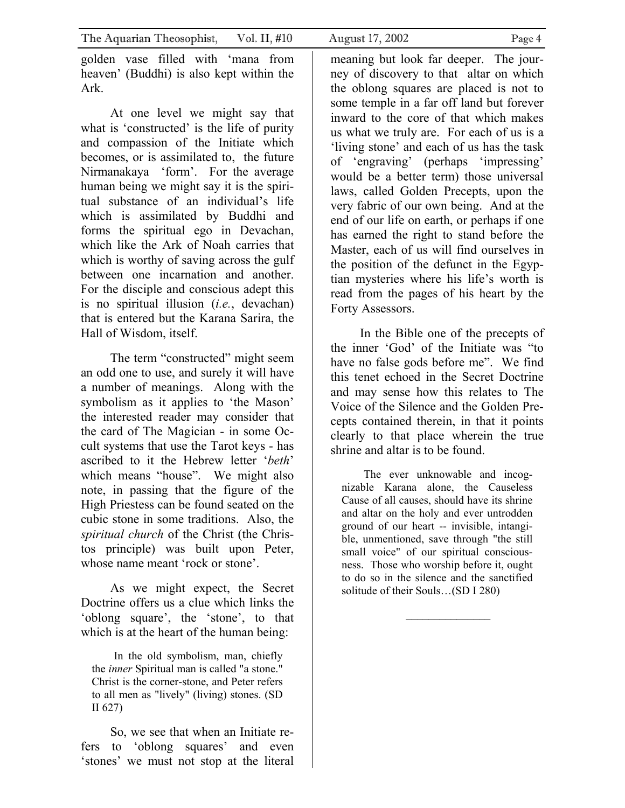golden vase filled with 'mana from heaven' (Buddhi) is also kept within the Ark.

At one level we might say that what is 'constructed' is the life of purity and compassion of the Initiate which becomes, or is assimilated to, the future Nirmanakaya 'form'. For the average human being we might say it is the spiritual substance of an individual's life which is assimilated by Buddhi and forms the spiritual ego in Devachan, which like the Ark of Noah carries that which is worthy of saving across the gulf between one incarnation and another. For the disciple and conscious adept this is no spiritual illusion (*i.e.*, devachan) that is entered but the Karana Sarira, the Hall of Wisdom, itself.

The term "constructed" might seem an odd one to use, and surely it will have a number of meanings. Along with the symbolism as it applies to 'the Mason' the interested reader may consider that the card of The Magician - in some Occult systems that use the Tarot keys - has ascribed to it the Hebrew letter '*beth*' which means "house". We might also note, in passing that the figure of the High Priestess can be found seated on the cubic stone in some traditions. Also, the *spiritual church* of the Christ (the Christos principle) was built upon Peter, whose name meant 'rock or stone'.

As we might expect, the Secret Doctrine offers us a clue which links the 'oblong square', the 'stone', to that which is at the heart of the human being:

In the old symbolism, man, chiefly the *inner* Spiritual man is called "a stone." Christ is the corner-stone, and Peter refers to all men as "lively" (living) stones. (SD II 627)

So, we see that when an Initiate refers to 'oblong squares' and even 'stones' we must not stop at the literal

meaning but look far deeper. The journey of discovery to that altar on which the oblong squares are placed is not to some temple in a far off land but forever inward to the core of that which makes us what we truly are. For each of us is a 'living stone' and each of us has the task of 'engraving' (perhaps 'impressing' would be a better term) those universal laws, called Golden Precepts, upon the very fabric of our own being. And at the end of our life on earth, or perhaps if one has earned the right to stand before the Master, each of us will find ourselves in the position of the defunct in the Egyptian mysteries where his life's worth is read from the pages of his heart by the Forty Assessors.

In the Bible one of the precepts of the inner 'God' of the Initiate was "to have no false gods before me". We find this tenet echoed in the Secret Doctrine and may sense how this relates to The Voice of the Silence and the Golden Precepts contained therein, in that it points clearly to that place wherein the true shrine and altar is to be found.

The ever unknowable and incognizable Karana alone, the Causeless Cause of all causes, should have its shrine and altar on the holy and ever untrodden ground of our heart -- invisible, intangible, unmentioned, save through "the still small voice" of our spiritual consciousness. Those who worship before it, ought to do so in the silence and the sanctified solitude of their Souls…(SD I 280)

 $\mathcal{L}_\text{max}$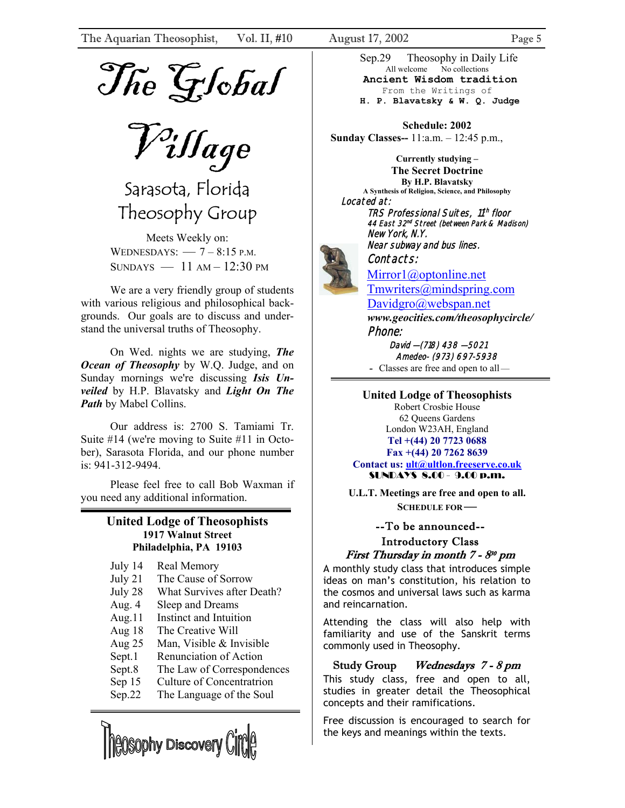<span id="page-4-0"></span>

Village

Sarasota, Florida **A Synthesis of Religion, Science, and Philosophy** 

Meets Weekly on: New York, N.Y.<br>WEDNESDAYS: — 7 – 8:15 P.M. Contacts: Contacts: SUNDAYS — 11 AM – 12:30 PM [Mirror1@optonline.net](mailto:Mirror1@optonline.net)

We are a very friendly group of students  $\boxed{\text{Imwriters}(\text{a})$  mindspring.com with various religious and philosophical backgrounds. Our goals are to discuss and understand the universal truths of Theosophy.

*Ocean of Theosophy* by W.Q. Judge, and on Sunday mornings we're discussing *Isis Unveiled* by H.P. Blavatsky and *Light On The Path* by Mabel Collins.

Suite #14 (we're moving to Suite #11 in October), Sarasota Florida, and our phone number is: 941-312-9494.

Please feel free to call Bob Waxman if you need any additional information. **U.L.T. Meetings are free and open to all.** 

# United Lodge of Theosophists<br>
1917 Walnut Street<br> **Example 2018**

| July 14   | <b>Real Memory</b>         |
|-----------|----------------------------|
| July 21   | The Cause of Sorrow        |
| July 28   | What Survives after Death? |
| Aug. 4    | Sleep and Dreams           |
| Aug. $11$ | Instinct and Intuition     |
| Aug 18    | The Creative Will          |
| Aug 25    | Man, Visible & Invisible   |
| Sept.1    | Renunciation of Action     |
| Sept.8    | The Law of Correspondence  |
|           |                            |

- Culture of Concentratrion
- Sep.22 The Language of the Soul



Sep.29 Theosophy in Daily Life All welcome No collections **Ancient Wisdom tradition**  From the Writings of  **H. P. Blavatsky & W. Q. Judge** 

**Schedule: 2002 Sunday Classes--** 11:a.m. – 12:45 p.m.,

> **Currently studying – The Secret Doctrine**

 Located at: Theosophy Group TRS Professional Suites, 1<sup>th</sup> floor 44 East 32nd Street (between Park & Madison)

[Davidgro@webspan.net](mailto:Davidgro@webspan.net)

*www.geocities.com/theosophycircle/*  Phone:

 – Classes are free and open to all— David — (718) 438 — 5021 On Wed. nights we are studying, *The*  Amedeo- (973) 697-5938

**United Lodge of Theosophists**  Robert Crosbie House 62 Queens Gardens Our address is: 2700 S. Tamiami Tr. London W23AH, England **Tel +(44) 20 7723 0688 Fax +(44) 20 7262 8639 Contact us: [ult@ultlon.freeserve.co.uk](mailto:ult@ultlon.freeserve.co.uk)**

SUNDAYS 8.00 - 9.00 p.m.

**SCHEDULE FOR—**

# **1917 Walnut Street <b>Introductory Class**<br> **1919 First Thursday in month 7 - 8<sup>30</sup> pm**

A monthly study class that introduces simple ideas on man's constitution, his relation to the cosmos and universal laws such as karma and reincarnation.

Attending the class will also help with familiarity and use of the Sanskrit terms commonly used in Theosophy.

Sept.8 The Law of Correspondences **Study Group** *Wednesdays* 7 - 8 pm<br>Sep 15 Culture of Concentratrion This study class, free and open to all,

studies in greater detail the Theosophical concepts and their ramifications.

Free discussion is encouraged to search for the keys and meanings within the texts.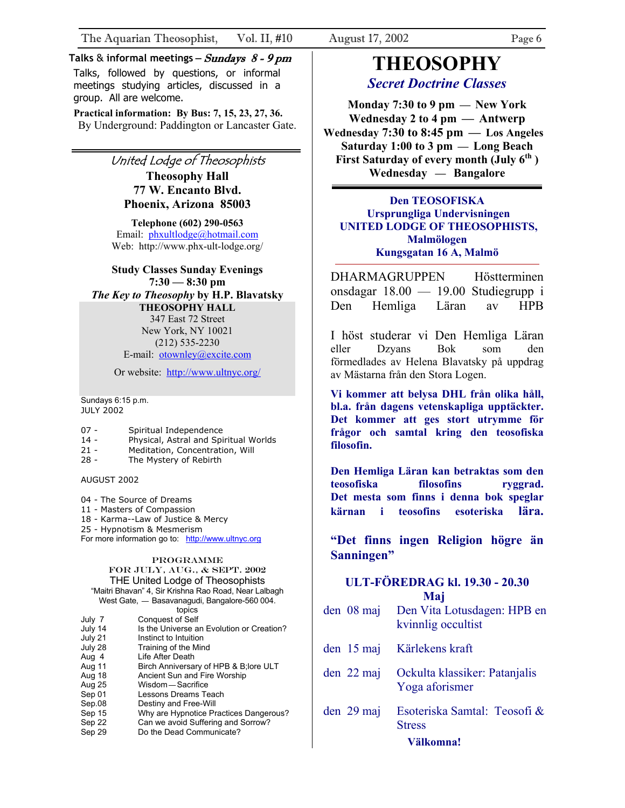**Talks &** informal meetings – Sundays 8 - 9 pm  $\blacksquare$  **THEOSOPHY** Talks, followed by questions, or informal meetings studying articles, discussed in a group. All are welcome.

## **77 W. Encanto Blvd. Phoenix, Arizona 85003**

**Telephone (602) 290-0563**  Email: [phxultlodge@hotmail.com](mailto:phxultlodge@hotmail.com) Web: http://www.phx-ult-lodge.org/

**Study Classes Sunday Evenings DHARMAGRUPPEN** Höstterminen **7:30 — 8:30 pm** *The Key to Theosophy* **by H.P. Blavatsky THEOSOPHY HALL**  347 East 72 Street New York, NY 10021 (212) 535-2230

E-mail: [otownley@excite.com](mailto:otownley@excite.com)

Or website: <http://www.ultnyc.org/>

Sundays 6:15 p.m. JULY 2002

| $07 -$ | Spiritual Independence                |
|--------|---------------------------------------|
| $14 -$ | Physical, Astral and Spiritual Worlds |
| $-$    |                                       |

- 21 Meditation, Concentration, Will
- 28 The Mystery of Rebirth

#### AUGUST 2002

04 - The Source of Dreams

- 11 Masters of Compassion
- 18 Karma--Law of Justice & Mercy
- 25 Hypnotism & Mesmerism
- For more information go to: [http://www.ultnyc.org](http://www.ultnyc.org/)

#### PROGRAMME

FOR JULY, AUG., & SEPT. 2002 THE United Lodge of Theosophists "Maitri Bhavan" 4, Sir Krishna Rao Road, Near Lalbagh West Gate, — Basavanagudi, Bangalore-560 004. topics July 7 Conquest of Self<br>July 14 Is the Universe a July 14 Is the Universe an Evolution or Creation?<br>July 21 Instinct to Intuition Instinct to Intuition July 28 Training of the Mind **France Contract Late Contract Property** den 15 maj Kärlekens kraft

| Aug 4  | Life After Death              |
|--------|-------------------------------|
| Aug 11 | Birch Anniversary of HPB & B; |
| Aug 18 | Ancient Sun and Fire Worship  |

- Aug 25 Wisdom Sacrifice Sep 01 Lessons Dreams Teach
- Sep.08 Destiny and Free-Will
- Sep 15 Why are Hypnotice Practices Dangerous? Sep 22 Can we avoid Suffering and Sorrow?
- Sep 29 Do the Dead Communicate?

#### *Secret Doctrine Classes*

**Monday 7:30 to 9 pm — New York Practical information: By Bus: 7, 15, 23, 27, 36.** Wednesday 2 to 4 pm — Antwerp **Wednesday 2 to 4 pm — Antwerp Wednesday 7:30 to 8:45 pm — Los Angeles Saturday 1:00 to 3 pm — Long Beach**  *United Lodge of Theosophists* **1** First Saturday of every month (July 6<sup>th</sup>) **Theosophy Hall Wednesday — Bangalore** 

#### **Den TEOSOFISKA Ursprungliga Undervisningen UNITED LODGE OF THEOSOPHISTS, Malmölogen Kungsgatan 16 A, Malmö**

onsdagar 18.00 — 19.00 Studiegrupp i Den Hemliga Läran av HPB

I höst studerar vi Den Hemliga Läran eller Dzyans Bok som den förmedlades av Helena Blavatsky på uppdrag av Mästarna från den Stora Logen.

**Vi kommer att belysa DHL från olika håll, bl.a. från dagens vetenskapliga upptäckter. Det kommer att ges stort utrymme för frågor och samtal kring den teosofiska filosofin.** 

**Den Hemliga Läran kan betraktas som den teosofiska filosofins ryggrad. Det mesta som finns i denna bok speglar kärnan i teosofins esoteriska lära.** 

**"Det finns ingen Religion högre än Sanningen"** 

#### **ULT-FÖREDRAG kl. 19.30 - 20.30 Maj**

den 08 maj Den Vita Lotusdagen: HPB en kvinnlig occultist  $B_i$ lore ULT den 22 maj Ockulta klassiker: Patanjalis Yoga aforismer den 29 maj Esoteriska Samtal: Teosofi & Stress **Välkomna!**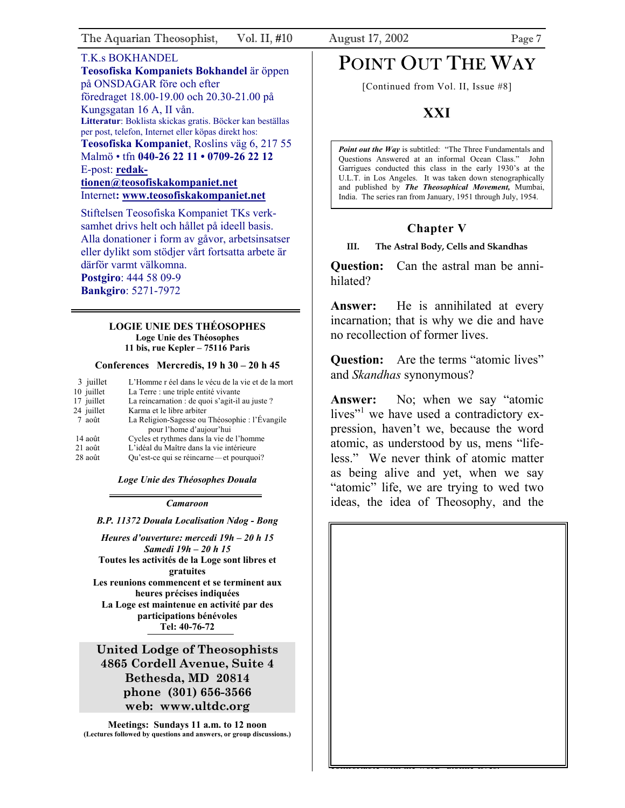#### <span id="page-6-0"></span>T.K.s BOKHANDEL **Teosofiska Kompaniets Bokhandel** är öppen på ONSDAGAR före och efter föredraget 18.00-19.00 och 20.30-21.00 på Kungsgatan 16 A, II vån. **Litteratur**: Boklista skickas gratis. Böcker kan beställas per post, telefon, Internet eller köpas direkt hos: **Teosofiska Kompaniet**, Roslins väg 6, 217 55 Malmö • tfn **040-26 22 11 • 0709-26 22 12** E-post: **[redak](mailto:redaktionen@teosofiskakompaniet.net)[tionen@teosofiskakompaniet.net](mailto:redaktionen@teosofiskakompaniet.net)** Internet**: [www.teosofiskakompaniet.net](http://www.teosofiskakompaniet.net/)**

Stiftelsen Teosofiska Kompaniet TKs verksamhet drivs helt och hållet på ideell basis. Alla donationer i form av gåvor, arbetsinsatser

eller dylikt som stödjer vårt fortsatta arbete är därför varmt välkomna.

**Postgiro**: 444 58 09-9 **Bankgiro**: 5271-7972

#### **LOGIE UNIE DES THÉOSOPHES Loge Unie des Théosophes 11 bis, rue Kepler – 75116 Paris**

#### **Conferences Mercredis, 19 h 30 – 20 h 45**

| 3 juillet  | L'Homme r éel dans le vécu de la vie et de la mort |
|------------|----------------------------------------------------|
| 10 juillet | La Terre : une triple entité vivante               |
| 17 juillet | La reincarnation : de quoi s'agit-il au juste ?    |
| 24 juillet | Karma et le libre arbiter                          |
| 7 août     | La Religion-Sagesse ou Théosophie : l'Évangile     |
|            | pour l'home d'aujour'hui                           |
| 14 août    | Cycles et rythmes dans la vie de l'homme           |
| 21 août    | L'idéal du Maître dans la vie intérieure           |
| 28 août    | Qu'est-ce qui se réincarne—et pourquoi?            |

*Loge Unie des Théosophes Douala* 

*Camaroon* 

*B.P. 11372 Douala Localisation Ndog - Bong* 

*Heures d'ouverture: mercedi 19h – 20 h 15 Samedi 19h – 20 h 15*  **Toutes les activités de la Loge sont libres et gratuites Les reunions commencent et se terminent aux heures précises indiquées La Loge est maintenue en activité par des participations bénévoles Tel: 40-76-72** 

**United Lodge of Theosophists 4865 Cordell Avenue, Suite 4 Bethesda, MD 20814 phone (301) 656-3566 web: www.ultdc.org** 

**Meetings: Sundays 11 a.m. to 12 noon (Lectures followed by questions and answers, or group discussions.)** 

### POINT OUT THE WAY

[Continued from Vol. II, Issue #8]

**XXI** 

**Point out the Way** is subtitled: "The Three Fundamentals and Questions Answered at an informal Ocean Class." John Garrigues conducted this class in the early 1930's at the U.L.T. in Los Angeles. It was taken down stenographically and published by *The Theosophical Movement,* Mumbai, India. The series ran from January, 1951 through July, 1954.

#### **Chapter V**

#### **III. The Astral Body, Cells and Skandhas**

**Question:** Can the astral man be annihilated?

**Answer:** He is annihilated at every incarnation; that is why we die and have no recollection of former lives.

**Question:** Are the terms "atomic lives" and *Skandhas* synonymous?

**Answer:** No; when we say "atomic lives"<sup>1</sup> we have used a contradictory expression, haven't we, because the word atomic, as understood by us, mens "lifeless." We never think of atomic matter as being alive and yet, when we say "atomic" life, we are trying to wed two ideas, the idea of Theosophy, and the

<span id="page-6-1"></span>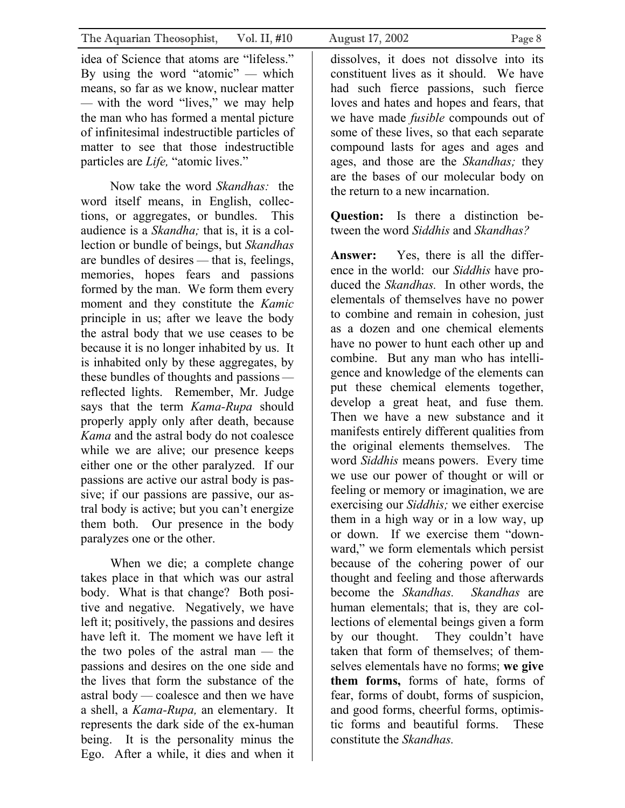idea of Science that atoms are "lifeless." By using the word "atomic" — which means, so far as we know, nuclear matter — with the word "lives," we may help the man who has formed a mental picture of infinitesimal indestructible particles of matter to see that those indestructible particles are *Life,* "atomic lives."

 Now take the word *Skandhas:* the word itself means, in English, collections, or aggregates, or bundles. This audience is a *Skandha;* that is, it is a collection or bundle of beings, but *Skandhas* are bundles of desires — that is, feelings, memories, hopes fears and passions formed by the man. We form them every moment and they constitute the *Kamic* principle in us; after we leave the body the astral body that we use ceases to be because it is no longer inhabited by us. It is inhabited only by these aggregates, by these bundles of thoughts and passions reflected lights. Remember, Mr. Judge says that the term *Kama-Rupa* should properly apply only after death, because *Kama* and the astral body do not coalesce while we are alive; our presence keeps either one or the other paralyzed. If our passions are active our astral body is passive; if our passions are passive, our astral body is active; but you can't energize them both. Our presence in the body paralyzes one or the other.

 When we die; a complete change takes place in that which was our astral body. What is that change? Both positive and negative. Negatively, we have left it; positively, the passions and desires have left it. The moment we have left it the two poles of the astral man — the passions and desires on the one side and the lives that form the substance of the astral body — coalesce and then we have a shell, a *Kama-Rupa,* an elementary. It represents the dark side of the ex-human being. It is the personality minus the Ego. After a while, it dies and when it

dissolves, it does not dissolve into its constituent lives as it should. We have had such fierce passions, such fierce loves and hates and hopes and fears, that we have made *fusible* compounds out of some of these lives, so that each separate compound lasts for ages and ages and ages, and those are the *Skandhas;* they are the bases of our molecular body on the return to a new incarnation.

**Question:** Is there a distinction between the word *Siddhis* and *Skandhas?*

**Answer:** Yes, there is all the difference in the world: our *Siddhis* have produced the *Skandhas.* In other words, the elementals of themselves have no power to combine and remain in cohesion, just as a dozen and one chemical elements have no power to hunt each other up and combine. But any man who has intelligence and knowledge of the elements can put these chemical elements together, develop a great heat, and fuse them. Then we have a new substance and it manifests entirely different qualities from the original elements themselves. The word *Siddhis* means powers. Every time we use our power of thought or will or feeling or memory or imagination, we are exercising our *Siddhis;* we either exercise them in a high way or in a low way, up or down. If we exercise them "downward," we form elementals which persist because of the cohering power of our thought and feeling and those afterwards become the *Skandhas. Skandhas* are human elementals; that is, they are collections of elemental beings given a form by our thought. They couldn't have taken that form of themselves; of themselves elementals have no forms; **we give them forms,** forms of hate, forms of fear, forms of doubt, forms of suspicion, and good forms, cheerful forms, optimistic forms and beautiful forms. These constitute the *Skandhas.*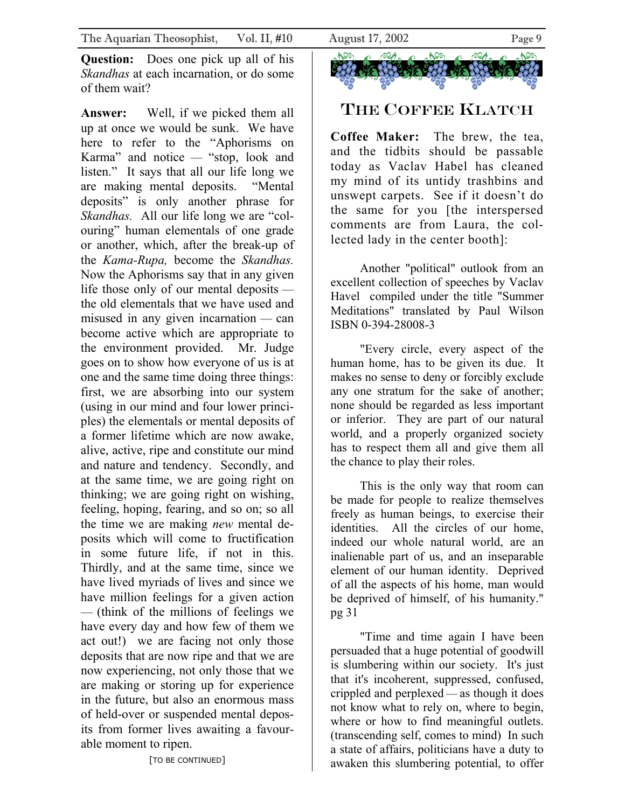<span id="page-8-0"></span>**Question:** Does one pick up all of his *Skandhas* at each incarnation, or do some of them wait?

up at once we would be sunk. We have here to refer to the "Aphorisms on Karma" and notice — "stop, look and listen." It says that all our life long we are making mental deposits. "Mental deposits" is only another phrase for *Skandhas.* All our life long we are "colouring" human elementals of one grade or another, which, after the break-up of the *Kama-Rupa,* become the *Skandhas.*  Now the Aphorisms say that in any given life those only of our mental deposits the old elementals that we have used and misused in any given incarnation — can become active which are appropriate to the environment provided. Mr. Judge goes on to show how everyone of us is at one and the same time doing three things: first, we are absorbing into our system (using in our mind and four lower principles) the elementals or mental deposits of a former lifetime which are now awake, alive, active, ripe and constitute our mind and nature and tendency. Secondly, and at the same time, we are going right on thinking; we are going right on wishing, feeling, hoping, fearing, and so on; so all the time we are making *new* mental deposits which will come to fructification in some future life, if not in this. Thirdly, and at the same time, since we have lived myriads of lives and since we have million feelings for a given action — (think of the millions of feelings we have every day and how few of them we act out!) we are facing not only those deposits that are now ripe and that we are now experiencing, not only those that we are making or storing up for experience in the future, but also an enormous mass of held-over or suspended mental deposits from former lives awaiting a favourable moment to ripen.

 $J^{00}$ 

**SBB PERSON PERSONAL PROPERTY** 



### Answer: Well, if we picked them all **THE COFFEE KLATCH**

**Coffee Maker:** The brew, the tea, and the tidbits should be passable today as Vaclav Habel has cleaned my mind of its untidy trashbins and unswept carpets. See if it doesn't do the same for you [the interspersed comments are from Laura, the collected lady in the center booth]:

Another "political" outlook from an excellent collection of speeches by Vaclav Havel compiled under the title "Summer Meditations" translated by Paul Wilson ISBN 0-394-28008-3

"Every circle, every aspect of the human home, has to be given its due. It makes no sense to deny or forcibly exclude any one stratum for the sake of another; none should be regarded as less important or inferior. They are part of our natural world, and a properly organized society has to respect them all and give them all the chance to play their roles.

This is the only way that room can be made for people to realize themselves freely as human beings, to exercise their identities. All the circles of our home, indeed our whole natural world, are an inalienable part of us, and an inseparable element of our human identity. Deprived of all the aspects of his home, man would be deprived of himself, of his humanity." pg 31

"Time and time again I have been persuaded that a huge potential of goodwill is slumbering within our society. It's just that it's incoherent, suppressed, confused, crippled and perplexed — as though it does not know what to rely on, where to begin, where or how to find meaningful outlets. (transcending self, comes to mind) In such a state of affairs, politicians have a duty to  $[TO BE CONTINUED]$  awaken this slumbering potential, to offer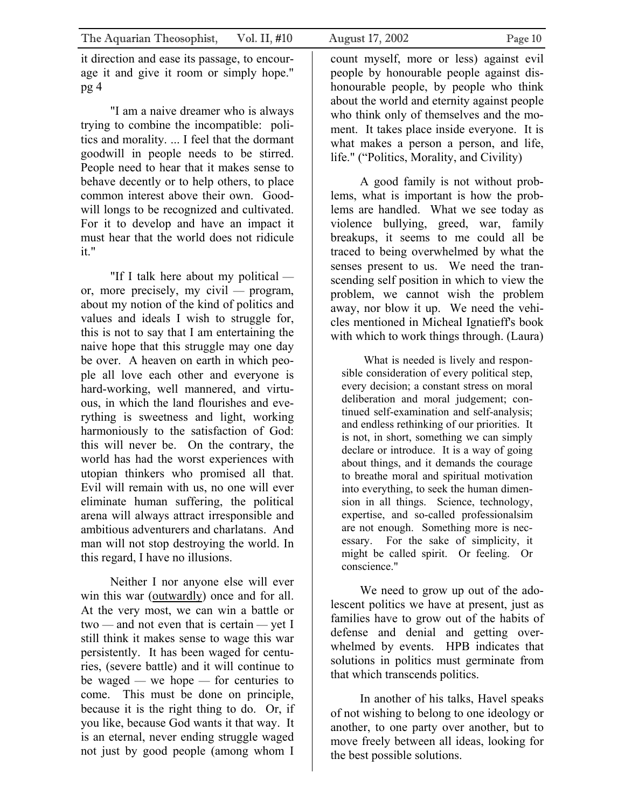it direction and ease its passage, to encourage it and give it room or simply hope." pg 4

"I am a naive dreamer who is always trying to combine the incompatible: politics and morality. ... I feel that the dormant goodwill in people needs to be stirred. People need to hear that it makes sense to behave decently or to help others, to place common interest above their own. Goodwill longs to be recognized and cultivated. For it to develop and have an impact it must hear that the world does not ridicule it."

"If I talk here about my political or, more precisely, my civil — program, about my notion of the kind of politics and values and ideals I wish to struggle for, this is not to say that I am entertaining the naive hope that this struggle may one day be over. A heaven on earth in which people all love each other and everyone is hard-working, well mannered, and virtuous, in which the land flourishes and everything is sweetness and light, working harmoniously to the satisfaction of God: this will never be. On the contrary, the world has had the worst experiences with utopian thinkers who promised all that. Evil will remain with us, no one will ever eliminate human suffering, the political arena will always attract irresponsible and ambitious adventurers and charlatans. And man will not stop destroying the world. In this regard, I have no illusions.

Neither I nor anyone else will ever win this war (outwardly) once and for all. At the very most, we can win a battle or two — and not even that is certain — yet I still think it makes sense to wage this war persistently. It has been waged for centuries, (severe battle) and it will continue to be waged — we hope — for centuries to come. This must be done on principle, because it is the right thing to do. Or, if you like, because God wants it that way. It is an eternal, never ending struggle waged not just by good people (among whom I

count myself, more or less) against evil people by honourable people against dishonourable people, by people who think about the world and eternity against people who think only of themselves and the moment. It takes place inside everyone. It is what makes a person a person, and life, life." ("Politics, Morality, and Civility)

A good family is not without problems, what is important is how the problems are handled. What we see today as violence bullying, greed, war, family breakups, it seems to me could all be traced to being overwhelmed by what the senses present to us. We need the transcending self position in which to view the problem, we cannot wish the problem away, nor blow it up. We need the vehicles mentioned in Micheal Ignatieff's book with which to work things through. (Laura)

What is needed is lively and responsible consideration of every political step, every decision; a constant stress on moral deliberation and moral judgement; continued self-examination and self-analysis; and endless rethinking of our priorities. It is not, in short, something we can simply declare or introduce. It is a way of going about things, and it demands the courage to breathe moral and spiritual motivation into everything, to seek the human dimension in all things. Science, technology, expertise, and so-called professionalsim are not enough. Something more is necessary. For the sake of simplicity, it might be called spirit. Or feeling. Or conscience."

We need to grow up out of the adolescent politics we have at present, just as families have to grow out of the habits of defense and denial and getting overwhelmed by events. HPB indicates that solutions in politics must germinate from that which transcends politics.

In another of his talks, Havel speaks of not wishing to belong to one ideology or another, to one party over another, but to move freely between all ideas, looking for the best possible solutions.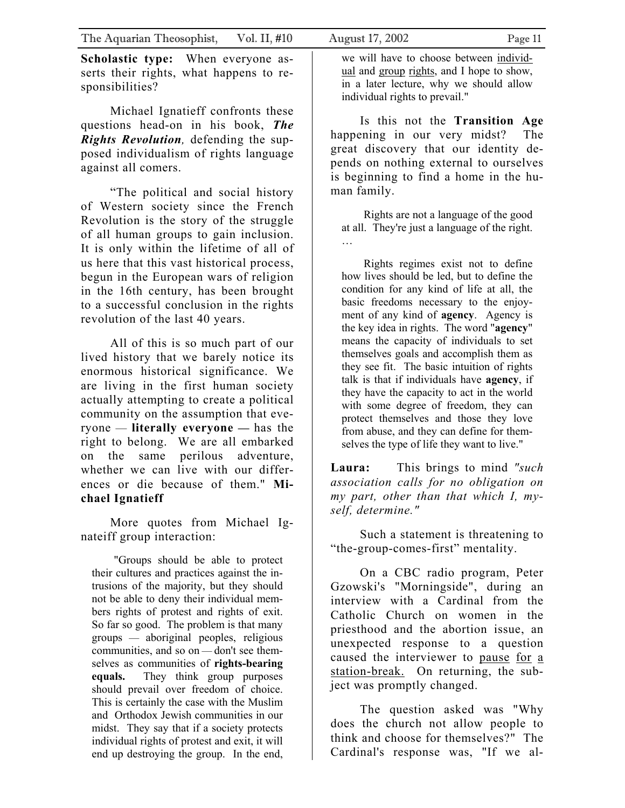**Scholastic type:** When everyone asserts their rights, what happens to responsibilities?

 Michael Ignatieff confronts these questions head-on in his book, *The Rights Revolution,* defending the supposed individualism of rights language against all comers.

 "The political and social history of Western society since the French Revolution is the story of the struggle of all human groups to gain inclusion. It is only within the lifetime of all of us here that this vast historical process, begun in the European wars of religion in the 16th century, has been brought to a successful conclusion in the rights revolution of the last 40 years.

 All of this is so much part of our lived history that we barely notice its enormous historical significance. We are living in the first human society actually attempting to create a political community on the assumption that everyone — **literally everyone —** has the right to belong. We are all embarked on the same perilous adventure, whether we can live with our differences or die because of them." **Michael Ignatieff**

 More quotes from Michael Ignateiff group interaction:

"Groups should be able to protect their cultures and practices against the intrusions of the majority, but they should not be able to deny their individual members rights of protest and rights of exit. So far so good. The problem is that many groups — aboriginal peoples, religious communities, and so on — don't see themselves as communities of **rights-bearing equals.** They think group purposes should prevail over freedom of choice. This is certainly the case with the Muslim and Orthodox Jewish communities in our midst. They say that if a society protects individual rights of protest and exit, it will end up destroying the group. In the end,

we will have to choose between individual and group rights, and I hope to show, in a later lecture, why we should allow individual rights to prevail."

 Is this not the **Transition Age**  happening in our very midst? The great discovery that our identity depends on nothing external to ourselves is beginning to find a home in the human family.

Rights are not a language of the good at all. They're just a language of the right. …

Rights regimes exist not to define how lives should be led, but to define the condition for any kind of life at all, the basic freedoms necessary to the enjoyment of any kind of **agency**. Agency is the key idea in rights. The word "**agency**" means the capacity of individuals to set themselves goals and accomplish them as they see fit. The basic intuition of rights talk is that if individuals have **agency**, if they have the capacity to act in the world with some degree of freedom, they can protect themselves and those they love from abuse, and they can define for themselves the type of life they want to live."

**Laura:** This brings to mind *"such association calls for no obligation on my part, other than that which I, myself, determine."*

 Such a statement is threatening to "the-group-comes-first" mentality.

 On a CBC radio program, Peter Gzowski's "Morningside", during an interview with a Cardinal from the Catholic Church on women in the priesthood and the abortion issue, an unexpected response to a question caused the interviewer to pause for a station-break. On returning, the subject was promptly changed.

 The question asked was "Why does the church not allow people to think and choose for themselves?" The Cardinal's response was, "If we al-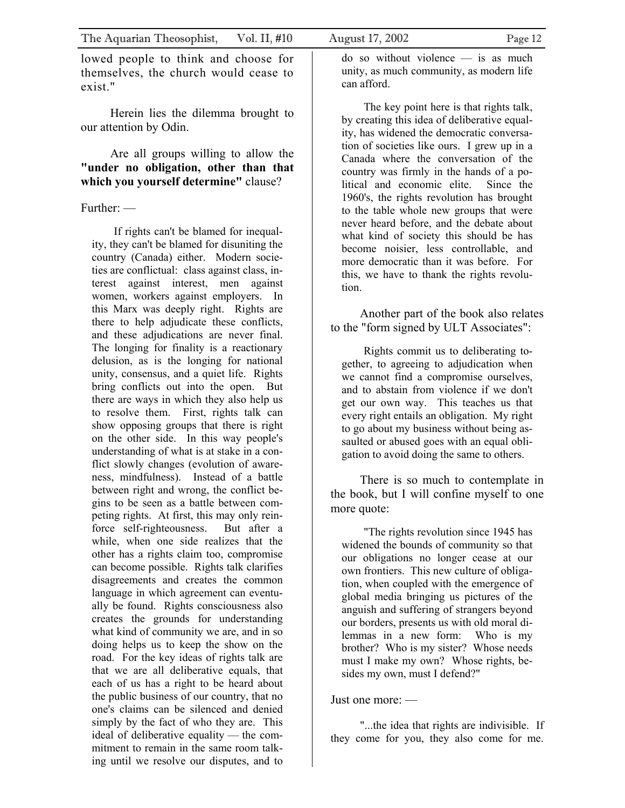lowed people to think and choose for themselves, the church would cease to exist."

Herein lies the dilemma brought to our attention by Odin.

Are all groups willing to allow the **"under no obligation, other than that which you yourself determine"** clause?

#### Further: —

If rights can't be blamed for inequality, they can't be blamed for disuniting the country (Canada) either. Modern societies are conflictual: class against class, interest against interest, men against women, workers against employers. In this Marx was deeply right. Rights are there to help adjudicate these conflicts, and these adjudications are never final. The longing for finality is a reactionary delusion, as is the longing for national unity, consensus, and a quiet life. Rights bring conflicts out into the open. But there are ways in which they also help us to resolve them. First, rights talk can show opposing groups that there is right on the other side. In this way people's understanding of what is at stake in a conflict slowly changes (evolution of awareness, mindfulness). Instead of a battle between right and wrong, the conflict begins to be seen as a battle between competing rights. At first, this may only reinforce self-righteousness. But after a while, when one side realizes that the other has a rights claim too, compromise can become possible. Rights talk clarifies disagreements and creates the common language in which agreement can eventually be found. Rights consciousness also creates the grounds for understanding what kind of community we are, and in so doing helps us to keep the show on the road. For the key ideas of rights talk are that we are all deliberative equals, that each of us has a right to be heard about the public business of our country, that no one's claims can be silenced and denied simply by the fact of who they are. This ideal of deliberative equality — the commitment to remain in the same room talking until we resolve our disputes, and to

do so without violence — is as much unity, as much community, as modern life can afford.

The key point here is that rights talk, by creating this idea of deliberative equality, has widened the democratic conversation of societies like ours. I grew up in a Canada where the conversation of the country was firmly in the hands of a political and economic elite. Since the 1960's, the rights revolution has brought to the table whole new groups that were never heard before, and the debate about what kind of society this should be has become noisier, less controllable, and more democratic than it was before. For this, we have to thank the rights revolution.

Another part of the book also relates to the "form signed by ULT Associates":

Rights commit us to deliberating together, to agreeing to adjudication when we cannot find a compromise ourselves, and to abstain from violence if we don't get our own way. This teaches us that every right entails an obligation. My right to go about my business without being assaulted or abused goes with an equal obligation to avoid doing the same to others.

There is so much to contemplate in the book, but I will confine myself to one more quote:

"The rights revolution since 1945 has widened the bounds of community so that our obligations no longer cease at our own frontiers. This new culture of obligation, when coupled with the emergence of global media bringing us pictures of the anguish and suffering of strangers beyond our borders, presents us with old moral dilemmas in a new form: Who is my brother? Who is my sister? Whose needs must I make my own? Whose rights, besides my own, must I defend?"

Just one more: —

"...the idea that rights are indivisible. If they come for you, they also come for me.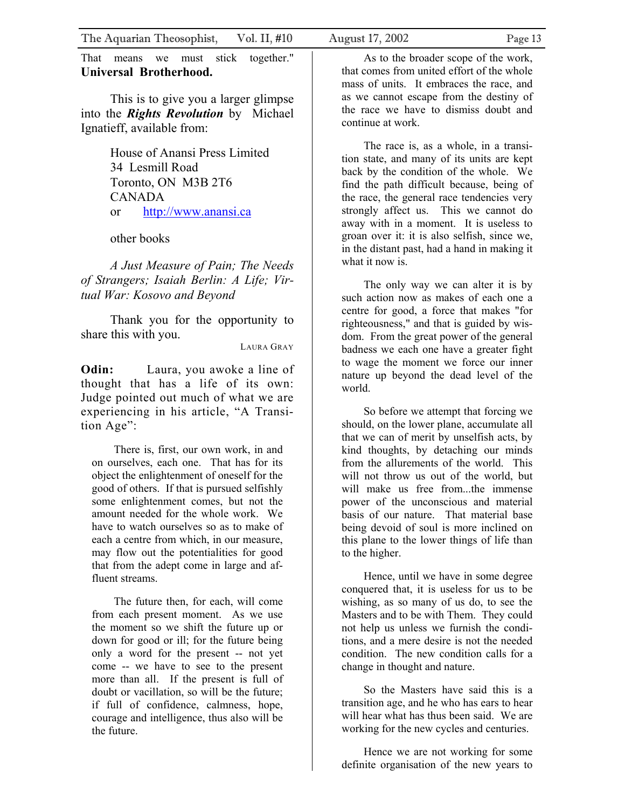That means we must stick together." **Universal Brotherhood.**

This is to give you a larger glimpse into the *Rights Revolution* by Michael Ignatieff, available from:

> House of Anansi Press Limited 34 Lesmill Road Toronto, ON M3B 2T6 CANADA or [http://www.anansi.ca](http://www.anansi.ca/)

other books

*A Just Measure of Pain; The Needs of Strangers; Isaiah Berlin: A Life; Virtual War: Kosovo and Beyond* 

Thank you for the opportunity to share this with you.

LAURA GRAY

**Odin:** Laura, you awoke a line of thought that has a life of its own: Judge pointed out much of what we are experiencing in his article, "A Transition Age":

There is, first, our own work, in and on ourselves, each one. That has for its object the enlightenment of oneself for the good of others. If that is pursued selfishly some enlightenment comes, but not the amount needed for the whole work. We have to watch ourselves so as to make of each a centre from which, in our measure, may flow out the potentialities for good that from the adept come in large and affluent streams.

The future then, for each, will come from each present moment. As we use the moment so we shift the future up or down for good or ill; for the future being only a word for the present -- not yet come -- we have to see to the present more than all. If the present is full of doubt or vacillation, so will be the future; if full of confidence, calmness, hope, courage and intelligence, thus also will be the future.

As to the broader scope of the work, that comes from united effort of the whole mass of units. It embraces the race, and as we cannot escape from the destiny of the race we have to dismiss doubt and continue at work.

The race is, as a whole, in a transition state, and many of its units are kept back by the condition of the whole. We find the path difficult because, being of the race, the general race tendencies very strongly affect us. This we cannot do away with in a moment. It is useless to groan over it: it is also selfish, since we, in the distant past, had a hand in making it what it now is.

The only way we can alter it is by such action now as makes of each one a centre for good, a force that makes "for righteousness," and that is guided by wisdom. From the great power of the general badness we each one have a greater fight to wage the moment we force our inner nature up beyond the dead level of the world.

So before we attempt that forcing we should, on the lower plane, accumulate all that we can of merit by unselfish acts, by kind thoughts, by detaching our minds from the allurements of the world. This will not throw us out of the world, but will make us free from...the immense power of the unconscious and material basis of our nature. That material base being devoid of soul is more inclined on this plane to the lower things of life than to the higher.

Hence, until we have in some degree conquered that, it is useless for us to be wishing, as so many of us do, to see the Masters and to be with Them. They could not help us unless we furnish the conditions, and a mere desire is not the needed condition. The new condition calls for a change in thought and nature.

So the Masters have said this is a transition age, and he who has ears to hear will hear what has thus been said. We are working for the new cycles and centuries.

Hence we are not working for some definite organisation of the new years to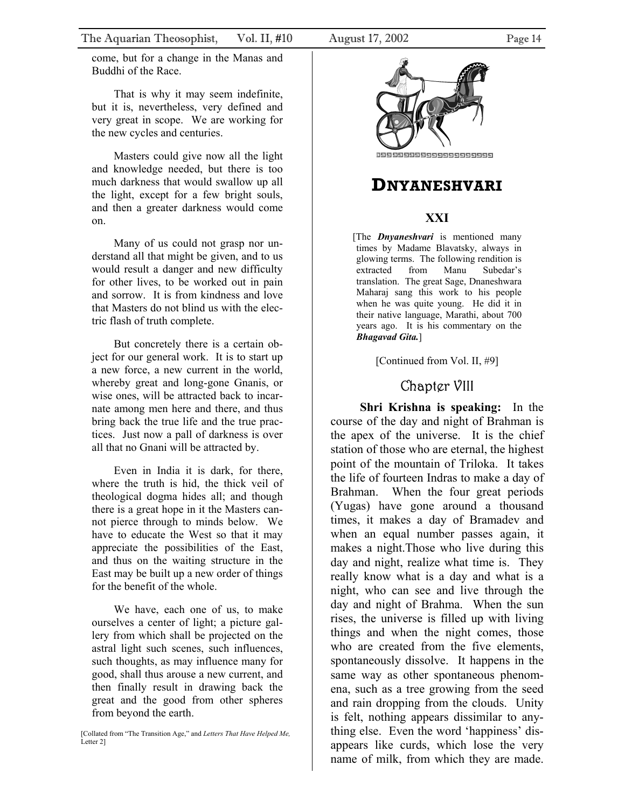<span id="page-13-0"></span>come, but for a change in the Manas and Buddhi of the Race.

That is why it may seem indefinite, but it is, nevertheless, very defined and very great in scope. We are working for the new cycles and centuries.

Masters could give now all the light and knowledge needed, but there is too much darkness that would swallow up all the light, except for a few bright souls, and then a greater darkness would come on.

Many of us could not grasp nor understand all that might be given, and to us would result a danger and new difficulty for other lives, to be worked out in pain and sorrow. It is from kindness and love that Masters do not blind us with the electric flash of truth complete.

But concretely there is a certain object for our general work. It is to start up a new force, a new current in the world, whereby great and long-gone Gnanis, or wise ones, will be attracted back to incarnate among men here and there, and thus bring back the true life and the true practices. Just now a pall of darkness is over all that no Gnani will be attracted by.

Even in India it is dark, for there, where the truth is hid, the thick veil of theological dogma hides all; and though there is a great hope in it the Masters cannot pierce through to minds below. We have to educate the West so that it may appreciate the possibilities of the East, and thus on the waiting structure in the East may be built up a new order of things for the benefit of the whole.

We have, each one of us, to make ourselves a center of light; a picture gallery from which shall be projected on the astral light such scenes, such influences, such thoughts, as may influence many for good, shall thus arouse a new current, and then finally result in drawing back the great and the good from other spheres from beyond the earth.



### **DNYANESHVARI**

#### **XXI**

[The *Dnyaneshvari* is mentioned many times by Madame Blavatsky, always in glowing terms. The following rendition is extracted from Manu Subedar's translation. The great Sage, Dnaneshwara Maharaj sang this work to his people when he was quite young. He did it in their native language, Marathi, about 700 years ago. It is his commentary on the *Bhagavad Gita.*]

[Continued from Vol. II, #9]

#### Chapter VIII

**Shri Krishna is speaking:** In the course of the day and night of Brahman is the apex of the universe. It is the chief station of those who are eternal, the highest point of the mountain of Triloka. It takes the life of fourteen Indras to make a day of Brahman. When the four great periods (Yugas) have gone around a thousand times, it makes a day of Bramadev and when an equal number passes again, it makes a night.Those who live during this day and night, realize what time is. They really know what is a day and what is a night, who can see and live through the day and night of Brahma. When the sun rises, the universe is filled up with living things and when the night comes, those who are created from the five elements. spontaneously dissolve. It happens in the same way as other spontaneous phenomena, such as a tree growing from the seed and rain dropping from the clouds. Unity is felt, nothing appears dissimilar to anything else. Even the word 'happiness' disappears like curds, which lose the very name of milk, from which they are made.

<sup>[</sup>Collated from "The Transition Age," and *Letters That Have Helped Me,* Letter 2]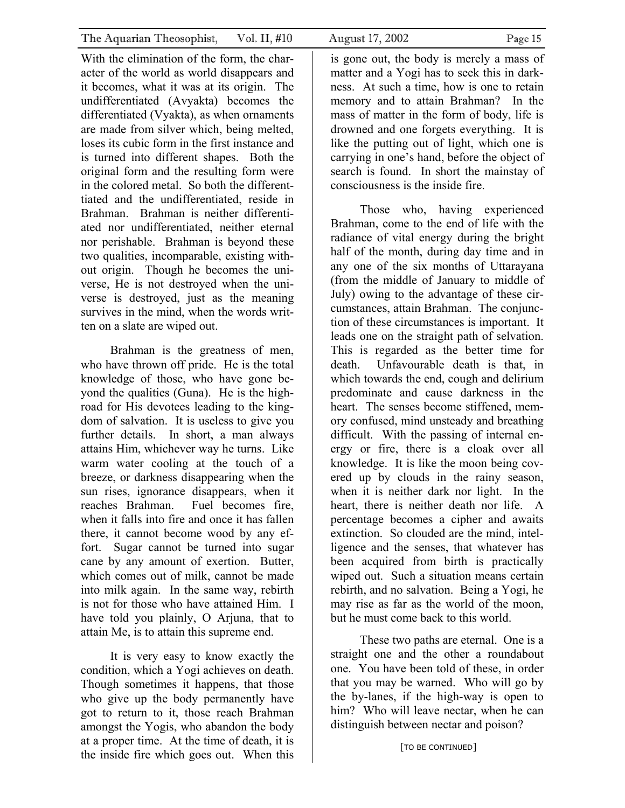With the elimination of the form, the character of the world as world disappears and it becomes, what it was at its origin. The undifferentiated (Avyakta) becomes the differentiated (Vyakta), as when ornaments are made from silver which, being melted, loses its cubic form in the first instance and is turned into different shapes. Both the original form and the resulting form were in the colored metal. So both the differenttiated and the undifferentiated, reside in Brahman. Brahman is neither differentiated nor undifferentiated, neither eternal nor perishable. Brahman is beyond these two qualities, incomparable, existing without origin. Though he becomes the universe, He is not destroyed when the universe is destroyed, just as the meaning survives in the mind, when the words written on a slate are wiped out.

Brahman is the greatness of men, who have thrown off pride. He is the total knowledge of those, who have gone beyond the qualities (Guna). He is the highroad for His devotees leading to the kingdom of salvation. It is useless to give you further details. In short, a man always attains Him, whichever way he turns. Like warm water cooling at the touch of a breeze, or darkness disappearing when the sun rises, ignorance disappears, when it reaches Brahman. Fuel becomes fire, when it falls into fire and once it has fallen there, it cannot become wood by any effort. Sugar cannot be turned into sugar cane by any amount of exertion. Butter, which comes out of milk, cannot be made into milk again. In the same way, rebirth is not for those who have attained Him. I have told you plainly, O Arjuna, that to attain Me, is to attain this supreme end.

It is very easy to know exactly the condition, which a Yogi achieves on death. Though sometimes it happens, that those who give up the body permanently have got to return to it, those reach Brahman amongst the Yogis, who abandon the body at a proper time. At the time of death, it is the inside fire which goes out. When this

is gone out, the body is merely a mass of matter and a Yogi has to seek this in darkness. At such a time, how is one to retain memory and to attain Brahman? In the mass of matter in the form of body, life is drowned and one forgets everything. It is like the putting out of light, which one is carrying in one's hand, before the object of search is found. In short the mainstay of consciousness is the inside fire.

Those who, having experienced Brahman, come to the end of life with the radiance of vital energy during the bright half of the month, during day time and in any one of the six months of Uttarayana (from the middle of January to middle of July) owing to the advantage of these circumstances, attain Brahman. The conjunction of these circumstances is important. It leads one on the straight path of selvation. This is regarded as the better time for death. Unfavourable death is that, in which towards the end, cough and delirium predominate and cause darkness in the heart. The senses become stiffened, memory confused, mind unsteady and breathing difficult. With the passing of internal energy or fire, there is a cloak over all knowledge. It is like the moon being covered up by clouds in the rainy season, when it is neither dark nor light. In the heart, there is neither death nor life. A percentage becomes a cipher and awaits extinction. So clouded are the mind, intelligence and the senses, that whatever has been acquired from birth is practically wiped out. Such a situation means certain rebirth, and no salvation. Being a Yogi, he may rise as far as the world of the moon, but he must come back to this world.

These two paths are eternal. One is a straight one and the other a roundabout one. You have been told of these, in order that you may be warned. Who will go by the by-lanes, if the high-way is open to him? Who will leave nectar, when he can distinguish between nectar and poison?

[TO BE CONTINUED]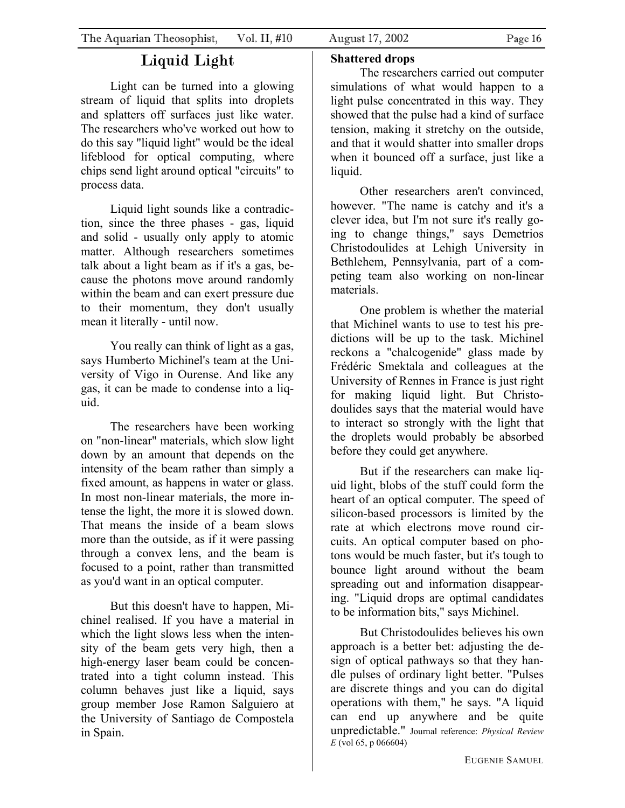### Liquid Light

<span id="page-15-0"></span>Light can be turned into a glowing stream of liquid that splits into droplets and splatters off surfaces just like water. The researchers who've worked out how to do this say "liquid light" would be the ideal lifeblood for optical computing, where chips send light around optical "circuits" to process data.

Liquid light sounds like a contradiction, since the three phases - gas, liquid and solid - usually only apply to atomic matter. Although researchers sometimes talk about a light beam as if it's a gas, because the photons move around randomly within the beam and can exert pressure due to their momentum, they don't usually mean it literally - until now.

You really can think of light as a gas, says Humberto Michinel's team at the University of Vigo in Ourense. And like any gas, it can be made to condense into a liquid.

The researchers have been working on "non-linear" materials, which slow light down by an amount that depends on the intensity of the beam rather than simply a fixed amount, as happens in water or glass. In most non-linear materials, the more intense the light, the more it is slowed down. That means the inside of a beam slows more than the outside, as if it were passing through a convex lens, and the beam is focused to a point, rather than transmitted as you'd want in an optical computer.

But this doesn't have to happen, Michinel realised. If you have a material in which the light slows less when the intensity of the beam gets very high, then a high-energy laser beam could be concentrated into a tight column instead. This column behaves just like a liquid, says group member Jose Ramon Salguiero at the University of Santiago de Compostela in Spain.

#### **Shattered drops**

The researchers carried out computer simulations of what would happen to a light pulse concentrated in this way. They showed that the pulse had a kind of surface tension, making it stretchy on the outside, and that it would shatter into smaller drops when it bounced off a surface, just like a liquid.

Other researchers aren't convinced, however. "The name is catchy and it's a clever idea, but I'm not sure it's really going to change things," says Demetrios Christodoulides at Lehigh University in Bethlehem, Pennsylvania, part of a competing team also working on non-linear materials.

One problem is whether the material that Michinel wants to use to test his predictions will be up to the task. Michinel reckons a "chalcogenide" glass made by Frédéric Smektala and colleagues at the University of Rennes in France is just right for making liquid light. But Christodoulides says that the material would have to interact so strongly with the light that the droplets would probably be absorbed before they could get anywhere.

But if the researchers can make liquid light, blobs of the stuff could form the heart of an optical computer. The speed of silicon-based processors is limited by the rate at which electrons move round circuits. An optical computer based on photons would be much faster, but it's tough to bounce light around without the beam spreading out and information disappearing. "Liquid drops are optimal candidates to be information bits," says Michinel.

But Christodoulides believes his own approach is a better bet: adjusting the design of optical pathways so that they handle pulses of ordinary light better. "Pulses are discrete things and you can do digital operations with them," he says. "A liquid can end up anywhere and be quite unpredictable." Journal reference: *Physical Review E* (vol 65, p 066604)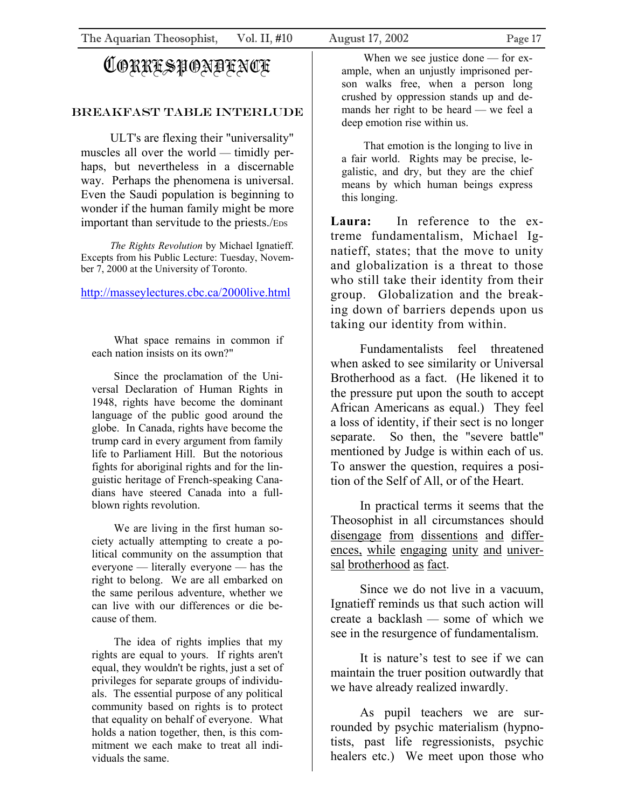### <span id="page-16-0"></span>CORRESPONDENCE

#### BREAKFAST TABLE INTERLUDE

ULT's are flexing their "universality" muscles all over the world — timidly perhaps, but nevertheless in a discernable way. Perhaps the phenomena is universal. Even the Saudi population is beginning to wonder if the human family might be more important than servitude to the priests./EDS

*The Rights Revolution* by Michael Ignatieff. Excepts from his Public Lecture: Tuesday, November 7, 2000 at the University of Toronto.

#### <http://masseylectures.cbc.ca/2000live.html>

What space remains in common if each nation insists on its own?"

Since the proclamation of the Universal Declaration of Human Rights in 1948, rights have become the dominant language of the public good around the globe. In Canada, rights have become the trump card in every argument from family life to Parliament Hill. But the notorious fights for aboriginal rights and for the linguistic heritage of French-speaking Canadians have steered Canada into a fullblown rights revolution.

We are living in the first human society actually attempting to create a political community on the assumption that everyone — literally everyone — has the right to belong. We are all embarked on the same perilous adventure, whether we can live with our differences or die because of them.

The idea of rights implies that my rights are equal to yours. If rights aren't equal, they wouldn't be rights, just a set of privileges for separate groups of individuals. The essential purpose of any political community based on rights is to protect that equality on behalf of everyone. What holds a nation together, then, is this commitment we each make to treat all individuals the same.

When we see justice done — for example, when an unjustly imprisoned person walks free, when a person long crushed by oppression stands up and demands her right to be heard — we feel a deep emotion rise within us.

That emotion is the longing to live in a fair world. Rights may be precise, legalistic, and dry, but they are the chief means by which human beings express this longing.

**Laura:** In reference to the extreme fundamentalism, Michael Ignatieff, states; that the move to unity and globalization is a threat to those who still take their identity from their group. Globalization and the breaking down of barriers depends upon us taking our identity from within.

Fundamentalists feel threatened when asked to see similarity or Universal Brotherhood as a fact. (He likened it to the pressure put upon the south to accept African Americans as equal.) They feel a loss of identity, if their sect is no longer separate. So then, the "severe battle" mentioned by Judge is within each of us. To answer the question, requires a position of the Self of All, or of the Heart.

In practical terms it seems that the Theosophist in all circumstances should disengage from dissentions and differences, while engaging unity and universal brotherhood as fact.

Since we do not live in a vacuum, Ignatieff reminds us that such action will create a backlash — some of which we see in the resurgence of fundamentalism.

It is nature's test to see if we can maintain the truer position outwardly that we have already realized inwardly.

As pupil teachers we are surrounded by psychic materialism (hypnotists, past life regressionists, psychic healers etc.) We meet upon those who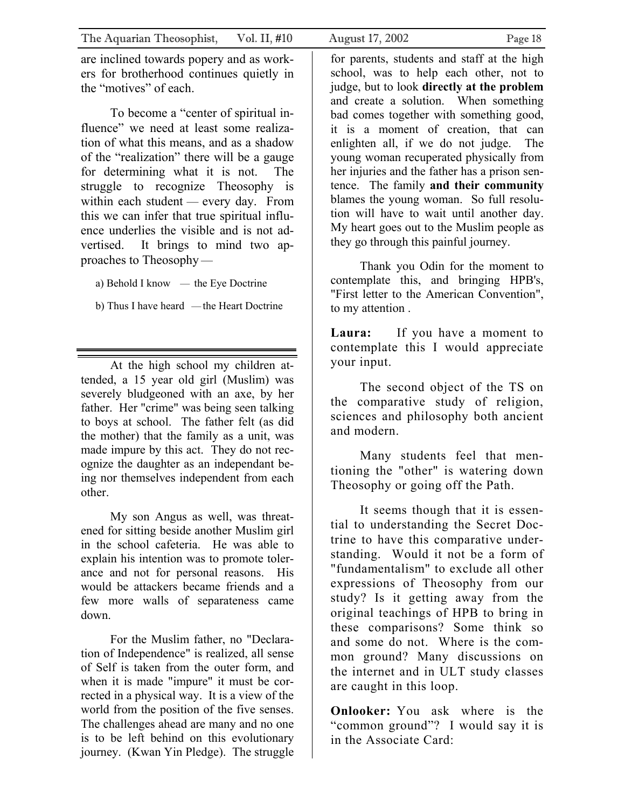are inclined towards popery and as workers for brotherhood continues quietly in the "motives" of each.

To become a "center of spiritual influence" we need at least some realization of what this means, and as a shadow of the "realization" there will be a gauge for determining what it is not. The struggle to recognize Theosophy is within each student — every day. From this we can infer that true spiritual influence underlies the visible and is not advertised. It brings to mind two approaches to Theosophy —

a) Behold I know — the Eye Doctrine

b) Thus I have heard — the Heart Doctrine

At the high school my children attended, a 15 year old girl (Muslim) was severely bludgeoned with an axe, by her father. Her "crime" was being seen talking to boys at school. The father felt (as did the mother) that the family as a unit, was made impure by this act. They do not recognize the daughter as an independant being nor themselves independent from each other.

My son Angus as well, was threatened for sitting beside another Muslim girl in the school cafeteria. He was able to explain his intention was to promote tolerance and not for personal reasons. His would be attackers became friends and a few more walls of separateness came down.

For the Muslim father, no "Declaration of Independence" is realized, all sense of Self is taken from the outer form, and when it is made "impure" it must be corrected in a physical way. It is a view of the world from the position of the five senses. The challenges ahead are many and no one is to be left behind on this evolutionary journey. (Kwan Yin Pledge). The struggle

for parents, students and staff at the high school, was to help each other, not to judge, but to look **directly at the problem** and create a solution. When something bad comes together with something good, it is a moment of creation, that can enlighten all, if we do not judge. The young woman recuperated physically from her injuries and the father has a prison sentence. The family **and their community** blames the young woman. So full resolution will have to wait until another day. My heart goes out to the Muslim people as they go through this painful journey.

Thank you Odin for the moment to contemplate this, and bringing HPB's, "First letter to the American Convention", to my attention .

**Laura:** If you have a moment to contemplate this I would appreciate your input.

The second object of the TS on the comparative study of religion, sciences and philosophy both ancient and modern.

Many students feel that mentioning the "other" is watering down Theosophy or going off the Path.

It seems though that it is essential to understanding the Secret Doctrine to have this comparative understanding. Would it not be a form of "fundamentalism" to exclude all other expressions of Theosophy from our study? Is it getting away from the original teachings of HPB to bring in these comparisons? Some think so and some do not. Where is the common ground? Many discussions on the internet and in ULT study classes are caught in this loop.

**Onlooker:** You ask where is the "common ground"? I would say it is in the Associate Card: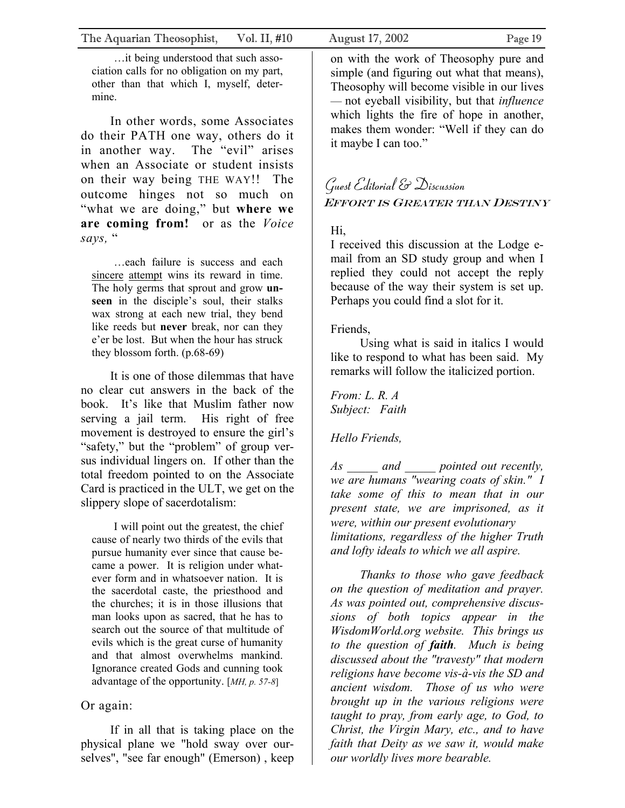<span id="page-18-0"></span>…it being understood that such association calls for no obligation on my part, other than that which I, myself, determine.

 In other words, some Associates do their PATH one way, others do it in another way. The "evil" arises when an Associate or student insists on their way being THE WAY!! The outcome hinges not so much on "what we are doing," but **where we are coming from!** or as the *Voice says,* "

…each failure is success and each sincere attempt wins its reward in time. The holy germs that sprout and grow **unseen** in the disciple's soul, their stalks wax strong at each new trial, they bend like reeds but **never** break, nor can they e'er be lost. But when the hour has struck they blossom forth. (p.68-69)

It is one of those dilemmas that have no clear cut answers in the back of the book. It's like that Muslim father now serving a jail term. His right of free movement is destroyed to ensure the girl's "safety," but the "problem" of group versus individual lingers on. If other than the total freedom pointed to on the Associate Card is practiced in the ULT, we get on the slippery slope of sacerdotalism:

I will point out the greatest, the chief cause of nearly two thirds of the evils that pursue humanity ever since that cause became a power. It is religion under whatever form and in whatsoever nation. It is the sacerdotal caste, the priesthood and the churches; it is in those illusions that man looks upon as sacred, that he has to search out the source of that multitude of evils which is the great curse of humanity and that almost overwhelms mankind. Ignorance created Gods and cunning took advantage of the opportunity. [*MH, p. 57-8*]

Or again:

If in all that is taking place on the physical plane we "hold sway over ourselves", "see far enough" (Emerson) , keep

on with the work of Theosophy pure and simple (and figuring out what that means), Theosophy will become visible in our lives — not eyeball visibility, but that *influence*  which lights the fire of hope in another, makes them wonder: "Well if they can do it maybe I can too."

### *Guest Editorial & Discussion*  EFFORT IS GREATER THAN DESTINY

#### Hi,

I received this discussion at the Lodge email from an SD study group and when I replied they could not accept the reply because of the way their system is set up. Perhaps you could find a slot for it.

#### Friends,

Using what is said in italics I would like to respond to what has been said. My remarks will follow the italicized portion.

*From: L. R. A Subject: Faith* 

*Hello Friends,* 

*As \_\_\_\_\_ and \_\_\_\_\_ pointed out recently, we are humans "wearing coats of skin." I take some of this to mean that in our present state, we are imprisoned, as it were, within our present evolutionary limitations, regardless of the higher Truth and lofty ideals to which we all aspire.* 

*Thanks to those who gave feedback on the question of meditation and prayer. As was pointed out, comprehensive discussions of both topics appear in the WisdomWorld.org website. This brings us to the question of faith. Much is being discussed about the "travesty" that modern religions have become vis-à-vis the SD and ancient wisdom. Those of us who were brought up in the various religions were taught to pray, from early age, to God, to Christ, the Virgin Mary, etc., and to have faith that Deity as we saw it, would make our worldly lives more bearable.*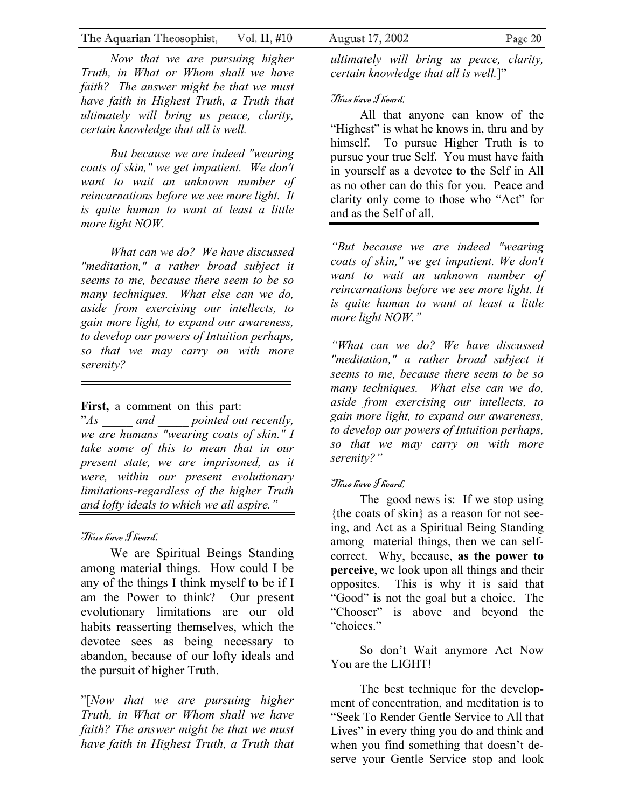*Now that we are pursuing higher Truth, in What or Whom shall we have faith? The answer might be that we must have faith in Highest Truth, a Truth that ultimately will bring us peace, clarity, certain knowledge that all is well.* 

*But because we are indeed "wearing coats of skin," we get impatient. We don't want to wait an unknown number of reincarnations before we see more light. It is quite human to want at least a little more light NOW.* 

*What can we do? We have discussed "meditation," a rather broad subject it seems to me, because there seem to be so many techniques. What else can we do, aside from exercising our intellects, to gain more light, to expand our awareness, to develop our powers of Intuition perhaps, so that we may carry on with more serenity?* 

#### **First,** a comment on this part:

"*As \_\_\_\_\_ and \_\_\_\_\_ pointed out recently, we are humans "wearing coats of skin." I take some of this to mean that in our present state, we are imprisoned, as it were, within our present evolutionary limitations-regardless of the higher Truth and lofty ideals to which we all aspire."* 

#### Thus have I heard,

We are Spiritual Beings Standing among material things. How could I be any of the things I think myself to be if I am the Power to think? Our present evolutionary limitations are our old habits reasserting themselves, which the devotee sees as being necessary to abandon, because of our lofty ideals and the pursuit of higher Truth.

"[*Now that we are pursuing higher Truth, in What or Whom shall we have faith? The answer might be that we must have faith in Highest Truth, a Truth that*  *ultimately will bring us peace, clarity, certain knowledge that all is well.*]"

#### Thus have I heard,

All that anyone can know of the "Highest" is what he knows in, thru and by himself. To pursue Higher Truth is to pursue your true Self. You must have faith in yourself as a devotee to the Self in All as no other can do this for you. Peace and clarity only come to those who "Act" for and as the Self of all.

*"But because we are indeed "wearing coats of skin," we get impatient. We don't want to wait an unknown number of reincarnations before we see more light. It is quite human to want at least a little more light NOW."* 

*"What can we do? We have discussed "meditation," a rather broad subject it seems to me, because there seem to be so many techniques. What else can we do, aside from exercising our intellects, to gain more light, to expand our awareness, to develop our powers of Intuition perhaps, so that we may carry on with more serenity?"* 

#### Thus have I heard,

The good news is: If we stop using {the coats of skin} as a reason for not seeing, and Act as a Spiritual Being Standing among material things, then we can selfcorrect. Why, because, **as the power to perceive**, we look upon all things and their opposites. This is why it is said that "Good" is not the goal but a choice. The "Chooser" is above and beyond the "choices."

So don't Wait anymore Act Now You are the LIGHT!

The best technique for the development of concentration, and meditation is to "Seek To Render Gentle Service to All that Lives" in every thing you do and think and when you find something that doesn't deserve your Gentle Service stop and look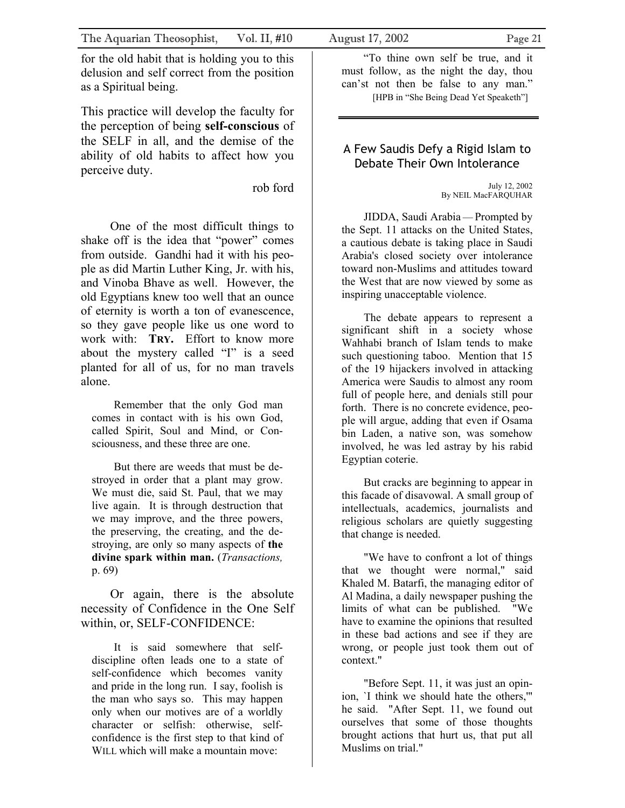<span id="page-20-0"></span>for the old habit that is holding you to this delusion and self correct from the position as a Spiritual being.

This practice will develop the faculty for the perception of being **self-conscious** of the SELF in all, and the demise of the ability of old habits to affect how you perceive duty.

One of the most difficult things to shake off is the idea that "power" comes from outside. Gandhi had it with his people as did Martin Luther King, Jr. with his, and Vinoba Bhave as well. However, the old Egyptians knew too well that an ounce of eternity is worth a ton of evanescence, so they gave people like us one word to work with: **TRY.** Effort to know more about the mystery called "I" is a seed planted for all of us, for no man travels alone.

Remember that the only God man comes in contact with is his own God, called Spirit, Soul and Mind, or Consciousness, and these three are one.

But there are weeds that must be destroyed in order that a plant may grow. We must die, said St. Paul, that we may live again. It is through destruction that we may improve, and the three powers, the preserving, the creating, and the destroying, are only so many aspects of **the divine spark within man.** (*Transactions,*  p. 69)

Or again, there is the absolute necessity of Confidence in the One Self within, or, SELF-CONFIDENCE:

It is said somewhere that selfdiscipline often leads one to a state of self-confidence which becomes vanity and pride in the long run. I say, foolish is the man who says so. This may happen only when our motives are of a worldly character or selfish: otherwise, selfconfidence is the first step to that kind of WILL which will make a mountain move:

"To thine own self be true, and it must follow, as the night the day, thou can'st not then be false to any man." [HPB in "She Being Dead Yet Speaketh"]

#### A Few Saudis Defy a Rigid Islam to Debate Their Own Intolerance

rob ford July 12, 2002 By NEIL MacFARQUHAR

JIDDA, Saudi Arabia — Prompted by the Sept. 11 attacks on the United States, a cautious debate is taking place in Saudi Arabia's closed society over intolerance toward non-Muslims and attitudes toward the West that are now viewed by some as inspiring unacceptable violence.

The debate appears to represent a significant shift in a society whose Wahhabi branch of Islam tends to make such questioning taboo. Mention that 15 of the 19 hijackers involved in attacking America were Saudis to almost any room full of people here, and denials still pour forth. There is no concrete evidence, people will argue, adding that even if Osama bin Laden, a native son, was somehow involved, he was led astray by his rabid Egyptian coterie.

But cracks are beginning to appear in this facade of disavowal. A small group of intellectuals, academics, journalists and religious scholars are quietly suggesting that change is needed.

"We have to confront a lot of things that we thought were normal," said Khaled M. Batarfi, the managing editor of Al Madina, a daily newspaper pushing the limits of what can be published. "We have to examine the opinions that resulted in these bad actions and see if they are wrong, or people just took them out of context."

"Before Sept. 11, it was just an opinion, `I think we should hate the others,'" he said. "After Sept. 11, we found out ourselves that some of those thoughts brought actions that hurt us, that put all Muslims on trial."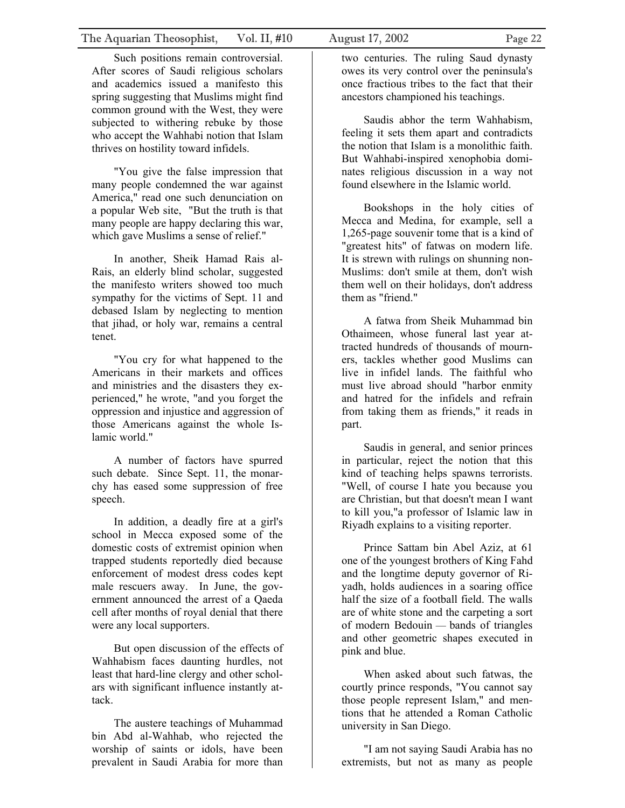Such positions remain controversial. After scores of Saudi religious scholars and academics issued a manifesto this spring suggesting that Muslims might find common ground with the West, they were subjected to withering rebuke by those who accept the Wahhabi notion that Islam thrives on hostility toward infidels.

"You give the false impression that many people condemned the war against America," read one such denunciation on a popular Web site, "But the truth is that many people are happy declaring this war, which gave Muslims a sense of relief."

In another, Sheik Hamad Rais al-Rais, an elderly blind scholar, suggested the manifesto writers showed too much sympathy for the victims of Sept. 11 and debased Islam by neglecting to mention that jihad, or holy war, remains a central tenet.

"You cry for what happened to the Americans in their markets and offices and ministries and the disasters they experienced," he wrote, "and you forget the oppression and injustice and aggression of those Americans against the whole Islamic world."

A number of factors have spurred such debate. Since Sept. 11, the monarchy has eased some suppression of free speech.

In addition, a deadly fire at a girl's school in Mecca exposed some of the domestic costs of extremist opinion when trapped students reportedly died because enforcement of modest dress codes kept male rescuers away. In June, the government announced the arrest of a Qaeda cell after months of royal denial that there were any local supporters.

But open discussion of the effects of Wahhabism faces daunting hurdles, not least that hard-line clergy and other scholars with significant influence instantly attack.

The austere teachings of Muhammad bin Abd al-Wahhab, who rejected the worship of saints or idols, have been prevalent in Saudi Arabia for more than

two centuries. The ruling Saud dynasty owes its very control over the peninsula's once fractious tribes to the fact that their ancestors championed his teachings.

Saudis abhor the term Wahhabism, feeling it sets them apart and contradicts the notion that Islam is a monolithic faith. But Wahhabi-inspired xenophobia dominates religious discussion in a way not found elsewhere in the Islamic world.

Bookshops in the holy cities of Mecca and Medina, for example, sell a 1,265-page souvenir tome that is a kind of "greatest hits" of fatwas on modern life. It is strewn with rulings on shunning non-Muslims: don't smile at them, don't wish them well on their holidays, don't address them as "friend."

A fatwa from Sheik Muhammad bin Othaimeen, whose funeral last year attracted hundreds of thousands of mourners, tackles whether good Muslims can live in infidel lands. The faithful who must live abroad should "harbor enmity and hatred for the infidels and refrain from taking them as friends," it reads in part.

Saudis in general, and senior princes in particular, reject the notion that this kind of teaching helps spawns terrorists. "Well, of course I hate you because you are Christian, but that doesn't mean I want to kill you,"a professor of Islamic law in Riyadh explains to a visiting reporter.

Prince Sattam bin Abel Aziz, at 61 one of the youngest brothers of King Fahd and the longtime deputy governor of Riyadh, holds audiences in a soaring office half the size of a football field. The walls are of white stone and the carpeting a sort of modern Bedouin — bands of triangles and other geometric shapes executed in pink and blue.

When asked about such fatwas, the courtly prince responds, "You cannot say those people represent Islam," and mentions that he attended a Roman Catholic university in San Diego.

"I am not saying Saudi Arabia has no extremists, but not as many as people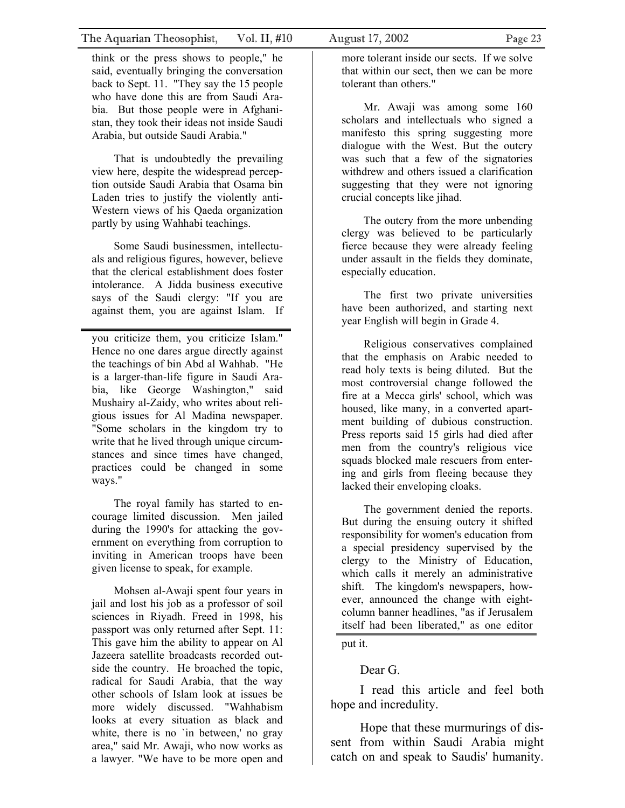think or the press shows to people," he said, eventually bringing the conversation back to Sept. 11. "They say the 15 people who have done this are from Saudi Arabia. But those people were in Afghanistan, they took their ideas not inside Saudi Arabia, but outside Saudi Arabia."

That is undoubtedly the prevailing view here, despite the widespread perception outside Saudi Arabia that Osama bin Laden tries to justify the violently anti-Western views of his Qaeda organization partly by using Wahhabi teachings.

Some Saudi businessmen, intellectuals and religious figures, however, believe that the clerical establishment does foster intolerance. A Jidda business executive says of the Saudi clergy: "If you are against them, you are against Islam. If

you criticize them, you criticize Islam." Hence no one dares argue directly against the teachings of bin Abd al Wahhab. "He is a larger-than-life figure in Saudi Arabia, like George Washington," said Mushairy al-Zaidy, who writes about religious issues for Al Madina newspaper. "Some scholars in the kingdom try to write that he lived through unique circumstances and since times have changed, practices could be changed in some ways."

The royal family has started to encourage limited discussion. Men jailed during the 1990's for attacking the government on everything from corruption to inviting in American troops have been given license to speak, for example.

Mohsen al-Awaji spent four years in jail and lost his job as a professor of soil sciences in Riyadh. Freed in 1998, his passport was only returned after Sept. 11: This gave him the ability to appear on Al Jazeera satellite broadcasts recorded outside the country. He broached the topic, radical for Saudi Arabia, that the way other schools of Islam look at issues be more widely discussed. "Wahhabism looks at every situation as black and white, there is no 'in between,' no gray area," said Mr. Awaji, who now works as a lawyer. "We have to be more open and

more tolerant inside our sects. If we solve that within our sect, then we can be more tolerant than others."

Mr. Awaji was among some 160 scholars and intellectuals who signed a manifesto this spring suggesting more dialogue with the West. But the outcry was such that a few of the signatories withdrew and others issued a clarification suggesting that they were not ignoring crucial concepts like jihad.

The outcry from the more unbending clergy was believed to be particularly fierce because they were already feeling under assault in the fields they dominate, especially education.

The first two private universities have been authorized, and starting next year English will begin in Grade 4.

Religious conservatives complained that the emphasis on Arabic needed to read holy texts is being diluted. But the most controversial change followed the fire at a Mecca girls' school, which was housed, like many, in a converted apartment building of dubious construction. Press reports said 15 girls had died after men from the country's religious vice squads blocked male rescuers from entering and girls from fleeing because they lacked their enveloping cloaks.

The government denied the reports. But during the ensuing outcry it shifted responsibility for women's education from a special presidency supervised by the clergy to the Ministry of Education, which calls it merely an administrative shift. The kingdom's newspapers, however, announced the change with eightcolumn banner headlines, "as if Jerusalem itself had been liberated," as one editor

put it.

#### Dear G.

I read this article and feel both hope and incredulity.

Hope that these murmurings of dissent from within Saudi Arabia might catch on and speak to Saudis' humanity.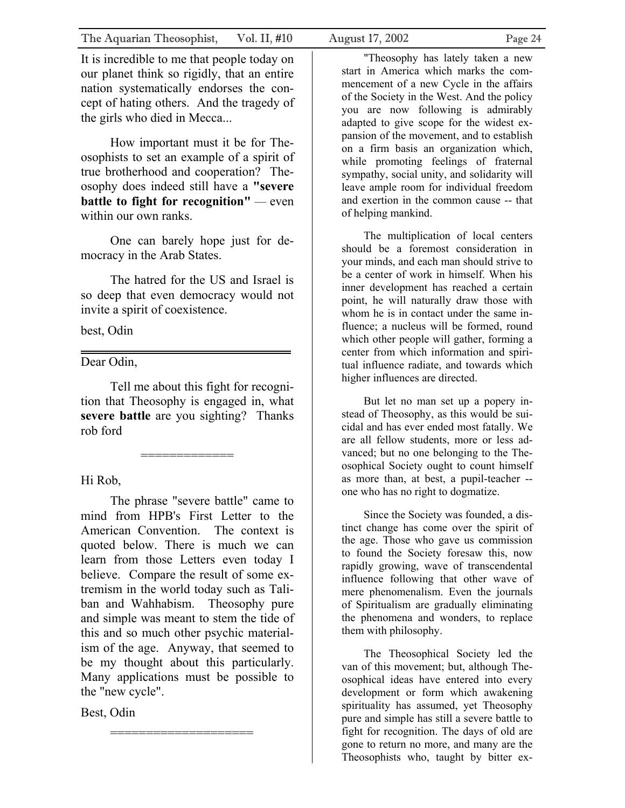It is incredible to me that people today on our planet think so rigidly, that an entire nation systematically endorses the concept of hating others. And the tragedy of the girls who died in Mecca...

How important must it be for Theosophists to set an example of a spirit of true brotherhood and cooperation? Theosophy does indeed still have a **"severe battle to fight for recognition"** — even within our own ranks.

One can barely hope just for democracy in the Arab States.

The hatred for the US and Israel is so deep that even democracy would not invite a spirit of coexistence.

best, Odin

Dear Odin,

Tell me about this fight for recognition that Theosophy is engaged in, what **severe battle** are you sighting? Thanks rob ford

==============

Hi Rob,

The phrase "severe battle" came to mind from HPB's First Letter to the American Convention. The context is quoted below. There is much we can learn from those Letters even today I believe. Compare the result of some extremism in the world today such as Taliban and Wahhabism. Theosophy pure and simple was meant to stem the tide of this and so much other psychic materialism of the age. Anyway, that seemed to be my thought about this particularly. Many applications must be possible to the "new cycle".

======================

Best, Odin

"Theosophy has lately taken a new start in America which marks the commencement of a new Cycle in the affairs of the Society in the West. And the policy you are now following is admirably adapted to give scope for the widest expansion of the movement, and to establish on a firm basis an organization which, while promoting feelings of fraternal sympathy, social unity, and solidarity will leave ample room for individual freedom and exertion in the common cause -- that of helping mankind.

The multiplication of local centers should be a foremost consideration in your minds, and each man should strive to be a center of work in himself. When his inner development has reached a certain point, he will naturally draw those with whom he is in contact under the same influence; a nucleus will be formed, round which other people will gather, forming a center from which information and spiritual influence radiate, and towards which higher influences are directed.

But let no man set up a popery instead of Theosophy, as this would be suicidal and has ever ended most fatally. We are all fellow students, more or less advanced; but no one belonging to the Theosophical Society ought to count himself as more than, at best, a pupil-teacher - one who has no right to dogmatize.

Since the Society was founded, a distinct change has come over the spirit of the age. Those who gave us commission to found the Society foresaw this, now rapidly growing, wave of transcendental influence following that other wave of mere phenomenalism. Even the journals of Spiritualism are gradually eliminating the phenomena and wonders, to replace them with philosophy.

The Theosophical Society led the van of this movement; but, although Theosophical ideas have entered into every development or form which awakening spirituality has assumed, yet Theosophy pure and simple has still a severe battle to fight for recognition. The days of old are gone to return no more, and many are the Theosophists who, taught by bitter ex-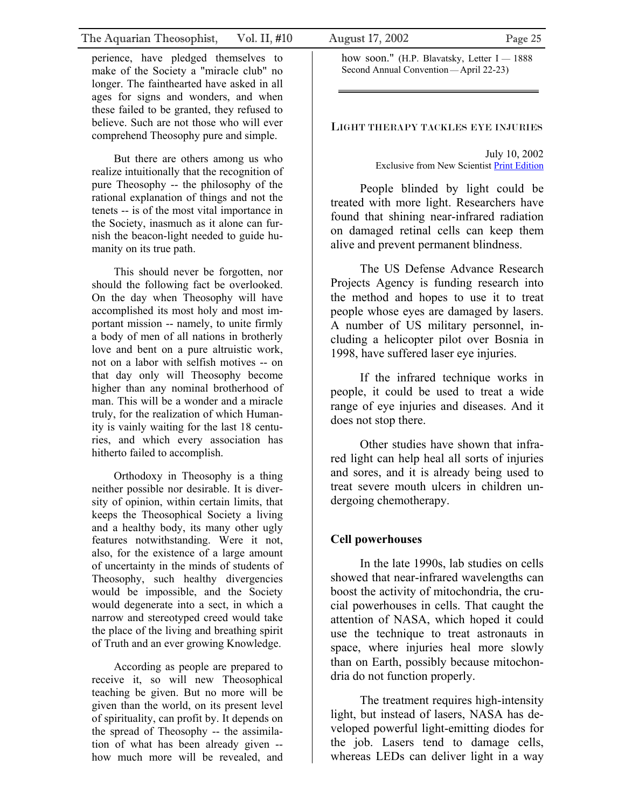<span id="page-24-0"></span>perience, have pledged themselves to make of the Society a "miracle club" no longer. The fainthearted have asked in all ages for signs and wonders, and when these failed to be granted, they refused to believe. Such are not those who will ever comprehend Theosophy pure and simple.

But there are others among us who realize intuitionally that the recognition of pure Theosophy -- the philosophy of the rational explanation of things and not the tenets -- is of the most vital importance in the Society, inasmuch as it alone can furnish the beacon-light needed to guide humanity on its true path.

This should never be forgotten, nor should the following fact be overlooked. On the day when Theosophy will have accomplished its most holy and most important mission -- namely, to unite firmly a body of men of all nations in brotherly love and bent on a pure altruistic work, not on a labor with selfish motives -- on that day only will Theosophy become higher than any nominal brotherhood of man. This will be a wonder and a miracle truly, for the realization of which Humanity is vainly waiting for the last 18 centuries, and which every association has hitherto failed to accomplish.

Orthodoxy in Theosophy is a thing neither possible nor desirable. It is diversity of opinion, within certain limits, that keeps the Theosophical Society a living and a healthy body, its many other ugly features notwithstanding. Were it not, also, for the existence of a large amount of uncertainty in the minds of students of Theosophy, such healthy divergencies would be impossible, and the Society would degenerate into a sect, in which a narrow and stereotyped creed would take the place of the living and breathing spirit of Truth and an ever growing Knowledge.

According as people are prepared to receive it, so will new Theosophical teaching be given. But no more will be given than the world, on its present level of spirituality, can profit by. It depends on the spread of Theosophy -- the assimilation of what has been already given - how much more will be revealed, and how soon." (H.P. Blavatsky, Letter I - 1888) Second Annual Convention—April 22-23)

#### LIGHT THERAPY TACKLES EYE INJURIES

July 10, 2002 Exclusive from New Scientist [Print Edition](http://www.newscientist.com/inprint)

People blinded by light could be treated with more light. Researchers have found that shining near-infrared radiation on damaged retinal cells can keep them alive and prevent permanent blindness.

The US Defense Advance Research Projects Agency is funding research into the method and hopes to use it to treat people whose eyes are damaged by lasers. A number of US military personnel, including a helicopter pilot over Bosnia in 1998, have suffered laser eye injuries.

If the infrared technique works in people, it could be used to treat a wide range of eye injuries and diseases. And it does not stop there.

Other studies have shown that infrared light can help heal all sorts of injuries and sores, and it is already being used to treat severe mouth ulcers in children undergoing chemotherapy.

#### **Cell powerhouses**

In the late 1990s, lab studies on cells showed that near-infrared wavelengths can boost the activity of mitochondria, the crucial powerhouses in cells. That caught the attention of NASA, which hoped it could use the technique to treat astronauts in space, where injuries heal more slowly than on Earth, possibly because mitochondria do not function properly.

The treatment requires high-intensity light, but instead of lasers, NASA has developed powerful light-emitting diodes for the job. Lasers tend to damage cells, whereas LEDs can deliver light in a way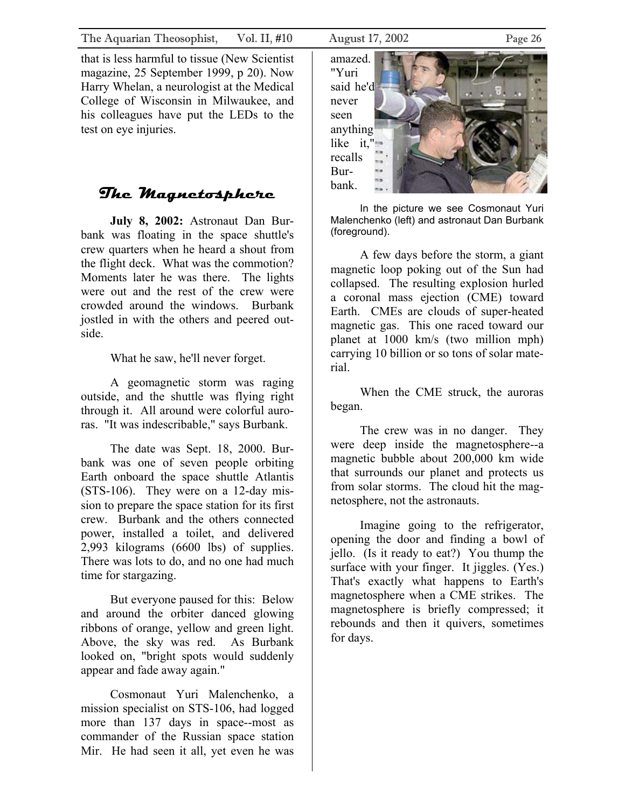<span id="page-25-0"></span>that is less harmful to tissue (New Scientist magazine, 25 September 1999, p 20). Now Harry Whelan, a neurologist at the Medical College of Wisconsin in Milwaukee, and his colleagues have put the LEDs to the test on eye injuries.

#### **The Magnetosphere**

**July 8, 2002:** Astronaut Dan Burbank was floating in the space shuttle's crew quarters when he heard a shout from the flight deck. What was the commotion? Moments later he was there. The lights were out and the rest of the crew were crowded around the windows. Burbank jostled in with the others and peered outside.

What he saw, he'll never forget.

A geomagnetic storm was raging outside, and the shuttle was flying right through it. All around were colorful auroras. "It was indescribable," says Burbank.

The date was Sept. 18, 2000. Burbank was one of seven people orbiting Earth onboard the space shuttle Atlantis (STS-106). They were on a 12-day mission to prepare the space station for its first crew. Burbank and the others connected power, installed a toilet, and delivered 2,993 kilograms (6600 lbs) of supplies. There was lots to do, and no one had much time for stargazing.

But everyone paused for this: Below and around the orbiter danced glowing ribbons of orange, yellow and green light. Above, the sky was red. As Burbank looked on, "bright spots would suddenly appear and fade away again."

Cosmonaut Yuri Malenchenko, a mission specialist on STS-106, had logged more than 137 days in space--most as commander of the Russian space station Mir. He had seen it all, yet even he was



In the picture we see Cosmonaut Yuri Malenchenko (left) and astronaut Dan Burbank (foreground).

A few days before the storm, a giant magnetic loop poking out of the Sun had collapsed. The resulting explosion hurled a coronal mass ejection (CME) toward Earth. CMEs are clouds of super-heated magnetic gas. This one raced toward our planet at 1000 km/s (two million mph) carrying 10 billion or so tons of solar material.

When the CME struck, the auroras began.

The crew was in no danger. They were deep inside the magnetosphere--a magnetic bubble about 200,000 km wide that surrounds our planet and protects us from solar storms. The cloud hit the magnetosphere, not the astronauts.

Imagine going to the refrigerator, opening the door and finding a bowl of jello. (Is it ready to eat?) You thump the surface with your finger. It jiggles. (Yes.) That's exactly what happens to Earth's magnetosphere when a CME strikes. The magnetosphere is briefly compressed; it rebounds and then it quivers, sometimes for days.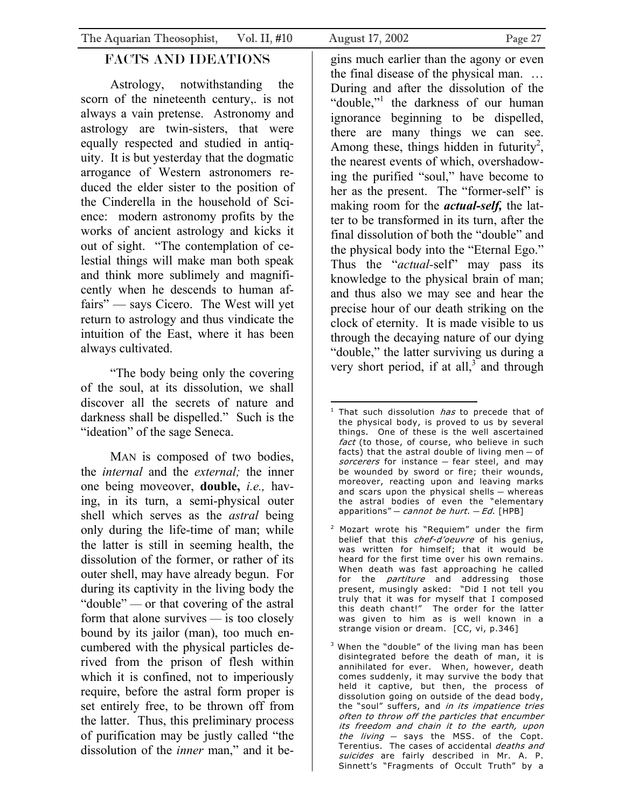#### FACTS AND IDEATIONS

<span id="page-26-0"></span>Astrology, notwithstanding the scorn of the nineteenth century,. is not always a vain pretense. Astronomy and astrology are twin-sisters, that were equally respected and studied in antiquity. It is but yesterday that the dogmatic arrogance of Western astronomers reduced the elder sister to the position of the Cinderella in the household of Science: modern astronomy profits by the works of ancient astrology and kicks it out of sight. "The contemplation of celestial things will make man both speak and think more sublimely and magnificently when he descends to human affairs" — says Cicero. The West will yet return to astrology and thus vindicate the intuition of the East, where it has been always cultivated.

"The body being only the covering of the soul, at its dissolution, we shall discover all the secrets of nature and darkness shall be dispelled." Such is the "ideation" of the sage Seneca.

MAN is composed of two bodies, the *internal* and the *external;* the inner one being moveover, **double,** *i.e.,* having, in its turn, a semi-physical outer shell which serves as the *astral* being only during the life-time of man; while the latter is still in seeming health, the dissolution of the former, or rather of its outer shell, may have already begun. For during its captivity in the living body the "double" — or that covering of the astral form that alone survives — is too closely bound by its jailor (man), too much encumbered with the physical particles derived from the prison of flesh within which it is confined, not to imperiously require, before the astral form proper is set entirely free, to be thrown off from the latter. Thus, this preliminary process of purification may be justly called "the dissolution of the *inner* man," and it be-

gins much earlier than the agony or even the final disease of the physical man. … During and after the dissolution of the "double,"<sup>1</sup> the darkness of our human ignorance beginning to be dispelled, there are many things we can see. Among these, things hidden in futurity<sup>[2](#page-26-2)</sup>, the nearest events of which, overshadowing the purified "soul," have become to her as the present. The "former-self" is making room for the *actual-self,* the latter to be transformed in its turn, after the final dissolution of both the "double" and the physical body into the "Eternal Ego." Thus the "*actual-*self" may pass its knowledge to the physical brain of man; and thus also we may see and hear the precise hour of our death striking on the clock of eternity. It is made visible to us through the decaying nature of our dying "double," the latter surviving us during a very short period, if at all, $3$  and through

<span id="page-26-1"></span> $\overline{a}$ 1 That such dissolution has to precede that of the physical body, is proved to us by several things. One of these is the well ascertained fact (to those, of course, who believe in such facts) that the astral double of living men $-$  of sorcerers for instance - fear steel, and may be wounded by sword or fire; their wounds, moreover, reacting upon and leaving marks and scars upon the physical shells — whereas the astral bodies of even the "elementary apparitions"  $-$  *cannot be hurt.*  $-Ed$ . [HPB]

<span id="page-26-2"></span><sup>&</sup>lt;sup>2</sup> Mozart wrote his "Requiem" under the firm belief that this *chef-d'oeuvre* of his genius, was written for himself; that it would be heard for the first time over his own remains. When death was fast approaching he called for the *partiture* and addressing those present, musingly asked: "Did I not tell you truly that it was for myself that I composed this death chant!" The order for the latter was given to him as is well known in a strange vision or dream. [CC, vi, p.346]

<span id="page-26-3"></span><sup>&</sup>lt;sup>3</sup> When the "double" of the living man has been disintegrated before the death of man, it is annihilated for ever. When, however, death comes suddenly, it may survive the body that held it captive, but then, the process of dissolution going on outside of the dead body, the "soul" suffers, and in its impatience tries often to throw off the particles that encumber its freedom and chain it to the earth, upon the living  $-$  says the MSS. of the Copt. Terentius. The cases of accidental *deaths and* suicides are fairly described in Mr. A. P. Sinnett's "Fragments of Occult Truth" by a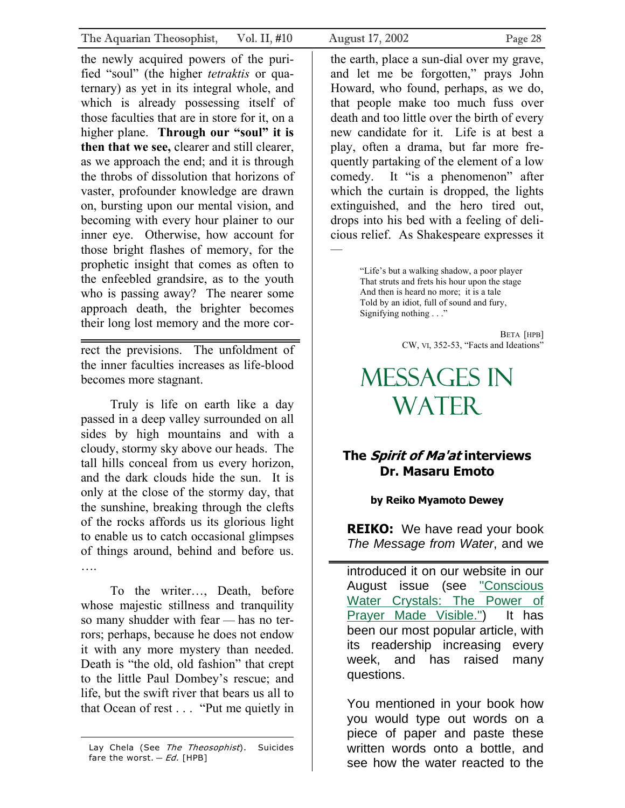<span id="page-27-0"></span>

| The Aquarian Theosophist,                        | <b>August 17, 2002</b>                       |
|--------------------------------------------------|----------------------------------------------|
| Vol. II, #10                                     | Page 28                                      |
| the newly acquired powers of the puri-           | the earth, place a sun-dial over my grave,   |
| fied "soul" (the higher <i>tetraktis</i> or qua- | and let me be forgotten," prays John         |
| ternary) as yet in its integral whole, and       | Howard, who found, perhaps, as we do,        |
| which is already possessing itself of            | that people make too much fuss over          |
| those faculties that are in store for it, on a   | death and too little over the birth of every |
| higher plane. Through our "soul" it is           | new candidate for it. Life is at best a      |
| then that we see, clearer and still clearer,     | play, often a drama, but far more fre-       |
| as we approach the end; and it is through        | quently partaking of the element of a low    |
| the throbs of dissolution that horizons of       | comedy. It "is a phenomenon" after           |
| vaster, profounder knowledge are drawn           | which the curtain is dropped, the lights     |
| on, bursting upon our mental vision, and         | extinguished, and the hero tired out,        |

—

rect the previsions. The unfoldment of the inner faculties increases as life-blood becomes more stagnant.

becoming with every hour plainer to our inner eye. Otherwise, how account for those bright flashes of memory, for the prophetic insight that comes as often to the enfeebled grandsire, as to the youth who is passing away? The nearer some approach death, the brighter becomes their long lost memory and the more cor-

Truly is life on earth like a day passed in a deep valley surrounded on all sides by high mountains and with a cloudy, stormy sky above our heads. The tall hills conceal from us every horizon, and the dark clouds hide the sun. It is only at the close of the stormy day, that the sunshine, breaking through the clefts of the rocks affords us its glorious light to enable us to catch occasional glimpses of things around, behind and before us. ….

To the writer…, Death, before whose majestic stillness and tranquility so many shudder with fear — has no terrors; perhaps, because he does not endow it with any more mystery than needed. Death is "the old, old fashion" that crept to the little Paul Dombey's rescue; and life, but the swift river that bears us all to that Ocean of rest . . . "Put me quietly in

Told by an idiot, full of sound and fury, Signifying nothing . . ." And then is heard no mo re; it is a tale

> CW, VI, 352-53, "Facts and Ideations" BETA [HPB]

## **WATER** Messages In

drops into his bed with a feeling of deliciou s relief. As Shakespeare expresses it

That struts and frets his hour upon the stage

"Life's but a walking shadow, a poor p layer

#### **The S iews pirit of Ma'at interv Dr. Masaru Emoto**

#### **by Reiko Myamoto Dewey**

**REIKO:** We have read your book *The Message from Water*, and we

introduced it on our we[bsite](g:\AAQUARIAN\Vol-II-#10\junomsg:\aug1\consciouswater.html) in our August issue (see "Conscious Water [Crystals:](g:\AAQUARIAN\Vol-II-#10\junomsg:\aug1\consciouswater.html) The Power of Prayer Made Visible.'') It has been our most popular article, with its readership increasing every week, and has raised many q uestions.

You mentioned in your book how you would type out words on a piece of paper and paste these written words onto a bottle, and see how the water reacted to the

Lay Chela (See The Theosophist). Suicides fare the worst.  $-Ed$ . [HPB]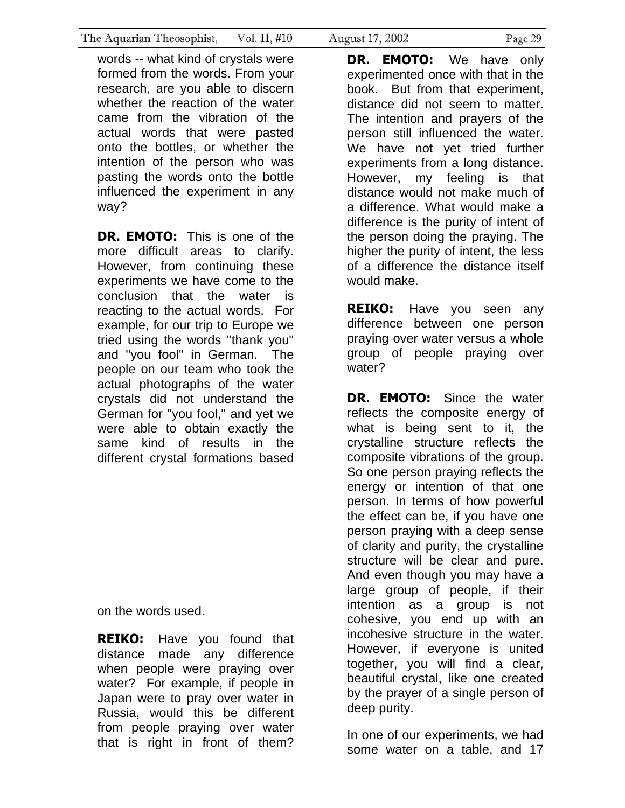words -- what kind of crystals were formed from the words. From your research, are you able to discern whether the reaction of the water came from the vibration of the actual words that were pasted onto the bottles, or whether the intention of the person who was pasting the words onto the bottle influenc ed the experiment in any w ay?

**DR. EMOTO:** This is one of the more difficult areas to clarify. However, from continuing these experiments we have come to the conclusion that the water is reacting to the actual words. For example, for our trip to Europe we tried using the words ''thank you'' and ''you fool'' in German. The people on our team who took the actual photographs of the water crystals did not understand the German for ''you fool,'' and yet we were able to obtain exactly the same kind of results in the different crystal formations based

on the words used.

that is right in front of them? **REIKO:** Have you found that distance made any difference when people were praying over water? For example, if people in Japan were to pray over water in Russia, would this be different from people praying over water **DR. EMOTO:** We have only experimented once with that in the book. But from that experiment, distance did not seem to matter. The intention and prayers of the person still influenced the water. We have not yet tried further experiments from a long distance. However, my feeling is that distance would not make much of

of a difference the distance itself would make. difference is the purity of intent of the person doing the praying. The higher the purity of intent, the less **REIKO:** Have you seen any

a difference. What would make a

group of people praying over water? difference between one person praying over water versus a whole

by the prayer of a single person of deep purity. **DR. EMOTO:** Since the water reflects the composite energy of what is being sent to it, the crystalline structure reflects the composite vibrations of the group. So one person praying reflects the energy or intention of that one person. In terms of how powerful the effect can be, if you have one person praying with a deep sense of clarity and purity, the crystalline structure will be clear and pure. And even though you may have a large group of people, if their intention as a group is not cohesive, you end up with an incohesive structure in the water. However, if everyone is united together, you will find a clear, beautiful crystal, like one created

In one of our experiments, we had some water on a table, and 17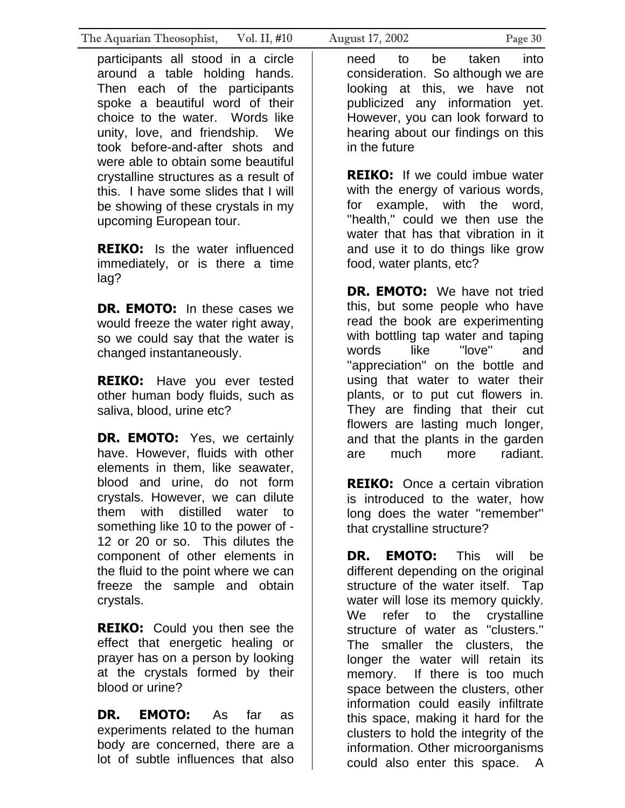participants all stood in a circle around a table holding hands. Then each of the participants spoke a beautiful word of their choice to the water. Words like unity, love, and friendship. We took before-and-after shots and were able to obtain some beautiful crystalline structures as a result of this. I have some slides that I will be showing of these crystals in my upcoming European tour.

**:** Is the water influenced **REIKO** immediately, or is there a time lag?

would freeze the water right away, so we could say that the water is **DR. EMOTO:** In these cases we changed instantaneously.

REIKO: Have you ever tested other human body fluids, such as saliva, blood, urine etc?

the fluid to the point where we can freeze the sample and obtain **DR. EMOTO:** Yes, we certainly have. However, fluids with other elements in them, like seawater, blood and urine, do not form crystals. However, we can dilute them with distilled water to something like 10 to the power of - 12 or 20 or so. This dilutes the component of other elements in crystals.

prayer has on a person by looking at the crystals formed by their **REIKO:** Could you then see the effect that energetic healing or blood or urine?

**DR. EMOTO:** As far as experiments related to the human body are concerned, there are a lot of subtle influences that also

However, you can look forward to hearing about our findings on this need to be taken into consideration. So although we are looking at this, we have not publicized any information yet. in the future

water that has that vibration in it and use it to do things like grow **REIKO:** If we could imbue water with the energy of various words, for example, with the word, ''health,'' could we then use the food, water plants, etc?

and that the plants in the garden **DR. EMOTO:** We have not tried this, but some people who have read the book are experimenting with bottling tap water and taping words like "love" and "appreciation" on the bottle and using that water to water their plants, or to put cut flowers in. They are finding that their cut flowers are lasting much longer, are much more radiant.

is introduced to the water, how long does the water "remember" **REIKO:** Once a certain vibration that crystalline structure?

could also enter this space. A **DR. EMOTO:** This will be different depending on the original structure of the water itself. Tap water will lose its memory quickly. We refer to the crystalline structure of water as ''clusters.'' The smaller the clusters, the longer the water will retain its memory. If there is too much space between the clusters, other information could easily infiltrate this space, making it hard for the clusters to hold the integrity of the information. Other microorganisms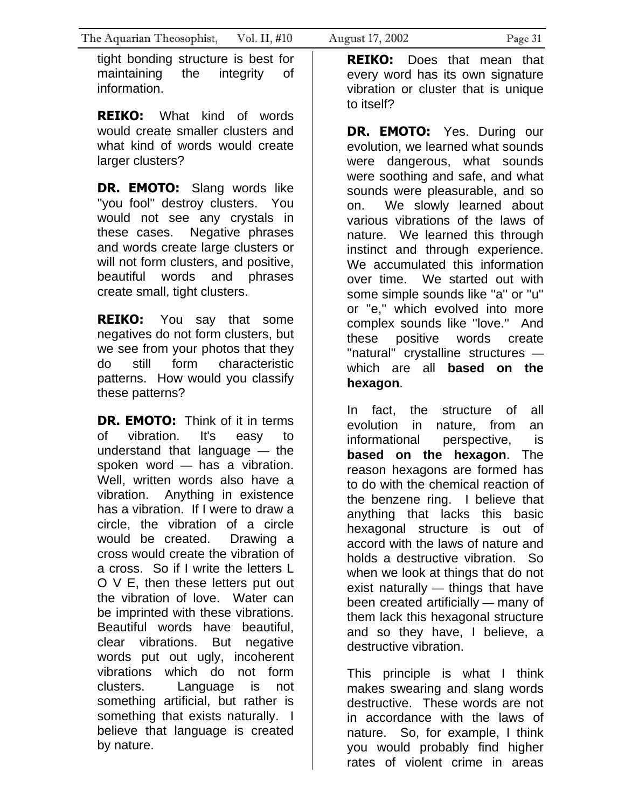tight bonding structure is best for maintaining the integrity of information.

what kind of words would create larger clusters? **REIKO:** What kind of words would create smaller clusters and

beautiful words and phrases create small, tight clusters. **DR. EMOTO:** Slang words like ''you fool'' destroy clusters. You would not see any crystals in these cases. Negative phrases and words create large clusters or will not form clusters, and positive,

patterns. How would you classify these patterns? **REIKO:** You say that some negatives do not form clusters, but we see from your photos that they do still form characteristic

believe that language is created by nature. **DR. EMOTO:** Think of it in terms of vibration. It's easy to understand that language — the spoken word — has a vibration. Well, written words also have a vibration. Anything in existence has a vibration. If I were to draw a circle, the vibration of a circle would be created. Drawing a cross would create the vibration of a cross. So if I write the letters L O V E, then these letters put out the vibration of love. Water can be imprinted with these vibrations. Beautiful words have beautiful, clear vibrations. But negative words put out ugly, incoherent vibrations which do not form clusters. Language is not something artificial, but rather is something that exists naturally. I

**REIKO:** Does that mean that every word has its own signature vibration or cluster that is unique to itself?

**DR. EMOTO:** Yes. During our evolution, we learned what sounds were dangerous, what sounds were soothing and safe, and what sounds were pleasurable, and so on. We slowly learned about various vibrations of the laws of nature. We learned this through instinct and through experience. We accumulated this information over time. We started out with some simple sounds like ''a'' or ''u'' or ''e,'' which evolved into more complex sounds like ''love.'' And these positive words create ''natural'' crystalline structures which are all **based on the hexagon**.

In fact, the structure of all evolution in nature, from an informational perspective, is **based on the hexagon**. The reason hexagons are formed has to do with the chemical reaction of the benzene ring. I believe that anything that lacks this basic hexagonal structure is out of accord with the laws of nature and holds a destructive vibration. So when we look at things that do not exist naturally — things that have been created artificially — many of them lack this hexagonal structure and so they have, I believe, a destructive vibration.

This principle is what I think makes swearing and slang words destructive. These words are not in accordance with the laws of nature. So, for example, I think you would probably find higher rates of violent crime in areas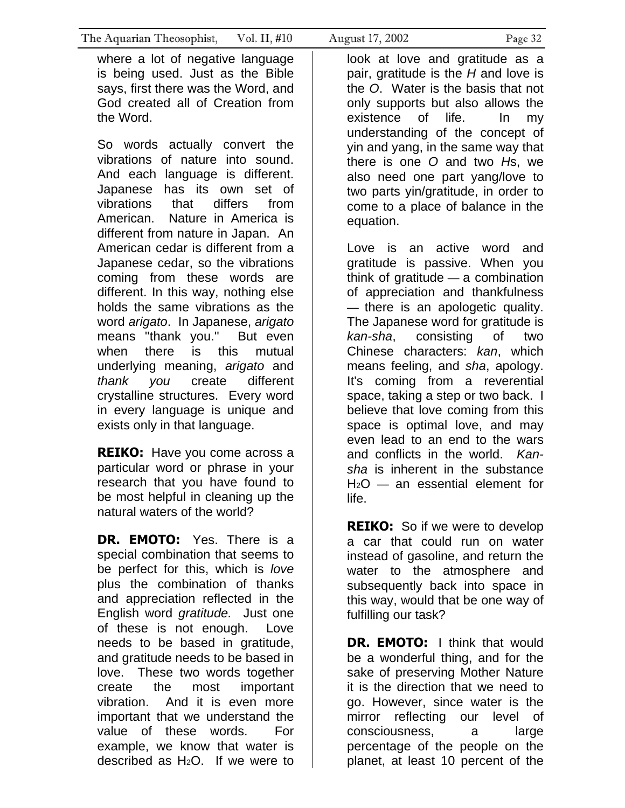where a lot of negative language is being used. Just as the Bible says, first there was the Word, and God created all of Creation from the Word.

So words actually convert the vibrations of nature into sound. And each language is different. Japanese has its own set of vibrations that differs from American. Nature in America is different from nature in Japan. An American cedar is different from a Japanese cedar, so the vibrations coming from these words are different. In this way, nothing else holds the same vibrations as the word *arigato*. In Japanese, *arigato* means ''thank you.'' But even when there is this mutual underlying meaning, *arigato* and *thank you* create different crystalline structures. Every word in every language is unique and exists only in that language.

**REIKO:** Have you come across a particular word or phrase in your research that you have found to be most helpful in cleaning up the natural waters of the world?

**DR. EMOTO:** Yes. There is a special combination that seems to be perfect for this, which is *love* plus the combination of thanks and appreciation reflected in the English word *gratitude.* Just one of these is not enough. Love needs to be based in gratitude, and gratitude needs to be based in love. These two words together create the most important vibration. And it is even more important that we understand the value of these words. For example, we know that water is described as  $H<sub>2</sub>O$ . If we were to

look at love and gratitude as a pair, gratitude is the *H* and love is the *O*. Water is the basis that not only supports but also allows the existence of life. In my understanding of the concept of yin and yang, in the same way that there is one *O* and two *H*s, we also need one part yang/love to two parts yin/gratitude, in order to come to a place of balance in the equation.

Love is an active word and gratitude is passive. When you think of gratitude — a combination of appreciation and thankfulness — there is an apologetic quality. The Japanese word for gratitude is *kan-sha*, consisting of two Chinese characters: *kan*, which means feeling, and *sha*, apology. It's coming from a reverential space, taking a step or two back. I believe that love coming from this space is optimal love, and may even lead to an end to the wars and conflicts in the world. *Kansha* is inherent in the substance H2O — an essential element for life.

**REIKO:** So if we were to develop a car that could run on water instead of gasoline, and return the water to the atmosphere and subsequently back into space in this way, would that be one way of fulfilling our task?

**DR. EMOTO:** I think that would be a wonderful thing, and for the sake of preserving Mother Nature it is the direction that we need to go. However, since water is the mirror reflecting our level of consciousness, a large percentage of the people on the planet, at least 10 percent of the